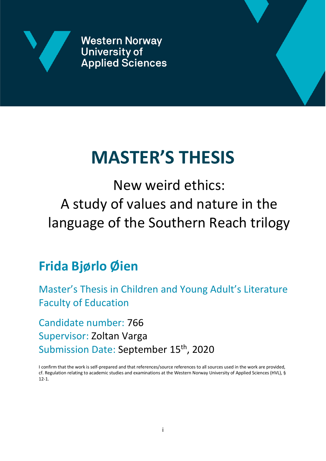

**Western Norway University of Applied Sciences** 



# **MASTER'S THESIS**

New weird ethics: A study of values and nature in the language of the Southern Reach trilogy

# **Frida Bjørlo Øien**

Master's Thesis in Children and Young Adult's Literature Faculty of Education

Candidate number: 766 Supervisor: Zoltan Varga Submission Date: September 15<sup>th</sup>, 2020

I confirm that the work is self-prepared and that references/source references to all sources used in the work are provided, cf. Regulation relating to academic studies and examinations at the Western Norway University of Applied Sciences (HVL), § 12-1.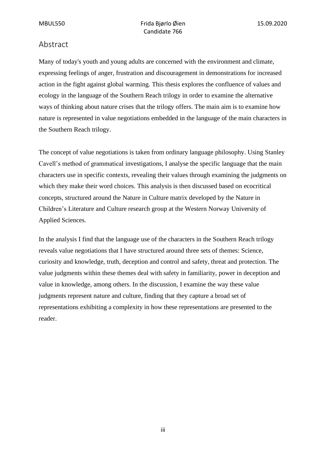#### <span id="page-2-0"></span>Abstract

Many of today's youth and young adults are concerned with the environment and climate, expressing feelings of anger, frustration and discouragement in demonstrations for increased action in the fight against global warming. This thesis explores the confluence of values and ecology in the language of the Southern Reach trilogy in order to examine the alternative ways of thinking about nature crises that the trilogy offers. The main aim is to examine how nature is represented in value negotiations embedded in the language of the main characters in the Southern Reach trilogy.

The concept of value negotiations is taken from ordinary language philosophy. Using Stanley Cavell's method of grammatical investigations, I analyse the specific language that the main characters use in specific contexts, revealing their values through examining the judgments on which they make their word choices. This analysis is then discussed based on ecocritical concepts, structured around the Nature in Culture matrix developed by the Nature in Children's Literature and Culture research group at the Western Norway University of Applied Sciences.

In the analysis I find that the language use of the characters in the Southern Reach trilogy reveals value negotiations that I have structured around three sets of themes: Science, curiosity and knowledge, truth, deception and control and safety, threat and protection. The value judgments within these themes deal with safety in familiarity, power in deception and value in knowledge, among others. In the discussion, I examine the way these value judgments represent nature and culture, finding that they capture a broad set of representations exhibiting a complexity in how these representations are presented to the reader.

iii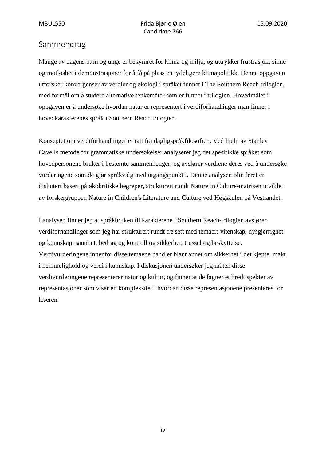### <span id="page-3-0"></span>Sammendrag

Mange av dagens barn og unge er bekymret for klima og miljø, og uttrykker frustrasjon, sinne og motløshet i demonstrasjoner for å få på plass en tydeligere klimapolitikk. Denne oppgaven utforsker konvergenser av verdier og økologi i språket funnet i The Southern Reach trilogien, med formål om å studere alternative tenkemåter som er funnet i trilogien. Hovedmålet i oppgaven er å undersøke hvordan natur er representert i verdiforhandlinger man finner i hovedkarakterenes språk i Southern Reach trilogien.

Konseptet om verdiforhandlinger er tatt fra dagligspråkfilosofien. Ved hjelp av Stanley Cavells metode for grammatiske undersøkelser analyserer jeg det spesifikke språket som hovedpersonene bruker i bestemte sammenhenger, og avslører verdiene deres ved å undersøke vurderingene som de gjør språkvalg med utgangspunkt i. Denne analysen blir deretter diskutert basert på økokritiske begreper, strukturert rundt Nature in Culture-matrisen utviklet av forskergruppen Nature in Children's Literature and Culture ved Høgskulen på Vestlandet.

I analysen finner jeg at språkbruken til karakterene i Southern Reach-trilogien avslører verdiforhandlinger som jeg har strukturert rundt tre sett med temaer: vitenskap, nysgjerrighet og kunnskap, sannhet, bedrag og kontroll og sikkerhet, trussel og beskyttelse. Verdivurderingene innenfor disse temaene handler blant annet om sikkerhet i det kjente, makt i hemmelighold og verdi i kunnskap. I diskusjonen undersøker jeg måten disse verdivurderingene representerer natur og kultur, og finner at de fagner et bredt spekter av representasjoner som viser en kompleksitet i hvordan disse representasjonene presenteres for leseren.

iv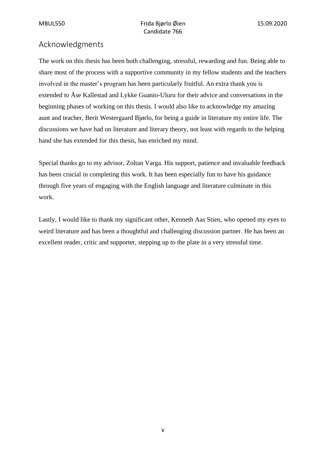# <span id="page-4-0"></span>Acknowledgments

The work on this thesis has been both challenging, stressful, rewarding and fun. Being able to share most of the process with a supportive community in my fellow students and the teachers involved in the master's program has been particularly fruitful. An extra thank you is extended to Åse Kallestad and Lykke Guanio-Uluru for their advice and conversations in the beginning phases of working on this thesis. I would also like to acknowledge my amazing aunt and teacher, Berit Westergaard Bjørlo, for being a guide in literature my entire life. The discussions we have had on literature and literary theory, not least with regards to the helping hand she has extended for this thesis, has enriched my mind.

Special thanks go to my advisor, Zoltan Varga. His support, patience and invaluable feedback has been crucial in completing this work. It has been especially fun to have his guidance through five years of engaging with the English language and literature culminate in this work.

Lastly, I would like to thank my significant other, Kenneth Aas Stien, who opened my eyes to weird literature and has been a thoughtful and challenging discussion partner. He has been an excellent reader, critic and supporter, stepping up to the plate in a very stressful time.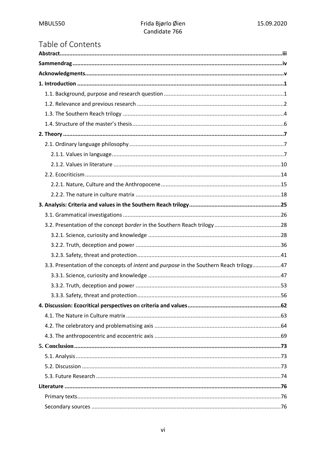# Table of Contents

| 3.3. Presentation of the concepts of <i>intent</i> and <i>purpose</i> in the Southern Reach trilogy47 |  |
|-------------------------------------------------------------------------------------------------------|--|
|                                                                                                       |  |
|                                                                                                       |  |
|                                                                                                       |  |
|                                                                                                       |  |
|                                                                                                       |  |
|                                                                                                       |  |
|                                                                                                       |  |
|                                                                                                       |  |
|                                                                                                       |  |
|                                                                                                       |  |
|                                                                                                       |  |
|                                                                                                       |  |
|                                                                                                       |  |
|                                                                                                       |  |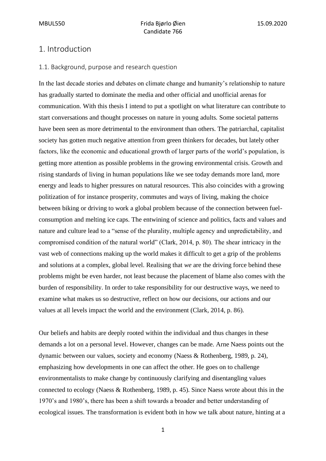#### <span id="page-7-0"></span>1. Introduction

#### <span id="page-7-1"></span>1.1. Background, purpose and research question

In the last decade stories and debates on climate change and humanity's relationship to nature has gradually started to dominate the media and other official and unofficial arenas for communication. With this thesis I intend to put a spotlight on what literature can contribute to start conversations and thought processes on nature in young adults. Some societal patterns have been seen as more detrimental to the environment than others. The patriarchal, capitalist society has gotten much negative attention from green thinkers for decades, but lately other factors, like the economic and educational growth of larger parts of the world's population, is getting more attention as possible problems in the growing environmental crisis. Growth and rising standards of living in human populations like we see today demands more land, more energy and leads to higher pressures on natural resources. This also coincides with a growing politization of for instance prosperity, commutes and ways of living, making the choice between biking or driving to work a global problem because of the connection between fuelconsumption and melting ice caps. The entwining of science and politics, facts and values and nature and culture lead to a "sense of the plurality, multiple agency and unpredictability, and compromised condition of the natural world" (Clark, 2014, p. 80). The shear intricacy in the vast web of connections making up the world makes it difficult to get a grip of the problems and solutions at a complex, global level. Realising that *we* are the driving force behind these problems might be even harder, not least because the placement of blame also comes with the burden of responsibility. In order to take responsibility for our destructive ways, we need to examine what makes us so destructive, reflect on how our decisions, our actions and our values at all levels impact the world and the environment (Clark, 2014, p. 86).

Our beliefs and habits are deeply rooted within the individual and thus changes in these demands a lot on a personal level. However, changes can be made. Arne Naess points out the dynamic between our values, society and economy (Naess & Rothenberg, 1989, p. 24), emphasizing how developments in one can affect the other. He goes on to challenge environmentalists to make change by continuously clarifying and disentangling values connected to ecology (Naess & Rothenberg, 1989, p. 45). Since Naess wrote about this in the 1970's and 1980's, there has been a shift towards a broader and better understanding of ecological issues. The transformation is evident both in how we talk about nature, hinting at a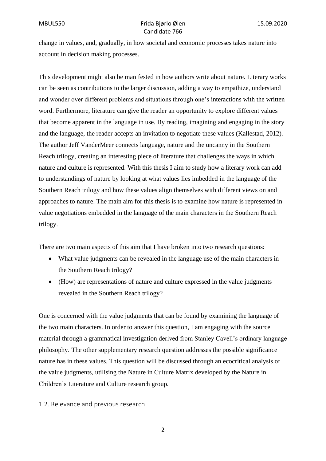change in values, and, gradually, in how societal and economic processes takes nature into account in decision making processes.

This development might also be manifested in how authors write about nature. Literary works can be seen as contributions to the larger discussion, adding a way to empathize, understand and wonder over different problems and situations through one's interactions with the written word. Furthermore, literature can give the reader an opportunity to explore different values that become apparent in the language in use. By reading, imagining and engaging in the story and the language, the reader accepts an invitation to negotiate these values (Kallestad, 2012). The author Jeff VanderMeer connects language, nature and the uncanny in the Southern Reach trilogy, creating an interesting piece of literature that challenges the ways in which nature and culture is represented. With this thesis I aim to study how a literary work can add to understandings of nature by looking at what values lies imbedded in the language of the Southern Reach trilogy and how these values align themselves with different views on and approaches to nature. The main aim for this thesis is to examine how nature is represented in value negotiations embedded in the language of the main characters in the Southern Reach trilogy.

There are two main aspects of this aim that I have broken into two research questions:

- What value judgments can be revealed in the language use of the main characters in the Southern Reach trilogy?
- (How) are representations of nature and culture expressed in the value judgments revealed in the Southern Reach trilogy?

One is concerned with the value judgments that can be found by examining the language of the two main characters. In order to answer this question, I am engaging with the source material through a grammatical investigation derived from Stanley Cavell's ordinary language philosophy. The other supplementary research question addresses the possible significance nature has in these values. This question will be discussed through an ecocritical analysis of the value judgments, utilising the Nature in Culture Matrix developed by the Nature in Children's Literature and Culture research group.

#### <span id="page-8-0"></span>1.2. Relevance and previous research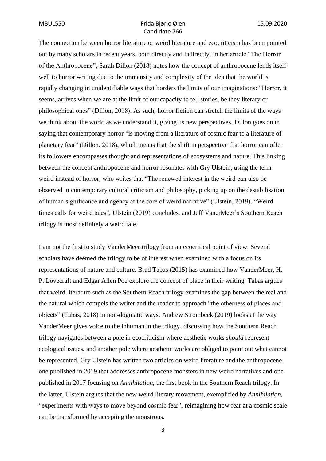The connection between horror literature or weird literature and ecocriticism has been pointed out by many scholars in recent years, both directly and indirectly. In her article "The Horror of the Anthropocene", Sarah Dillon (2018) notes how the concept of anthropocene lends itself well to horror writing due to the immensity and complexity of the idea that the world is rapidly changing in unidentifiable ways that borders the limits of our imaginations: "Horror, it seems, arrives when we are at the limit of our capacity to tell stories, be they literary or philosophical ones" (Dillon, 2018). As such, horror fiction can stretch the limits of the ways we think about the world as we understand it, giving us new perspectives. Dillon goes on in saying that contemporary horror "is moving from a literature of cosmic fear to a literature of planetary fear" (Dillon, 2018), which means that the shift in perspective that horror can offer its followers encompasses thought and representations of ecosystems and nature. This linking between the concept anthropocene and horror resonates with Gry Ulstein, using the term weird instead of horror, who writes that "The renewed interest in the weird can also be observed in contemporary cultural criticism and philosophy, picking up on the destabilisation of human significance and agency at the core of weird narrative" (Ulstein, 2019). "Weird times calls for weird tales", Ulstein (2019) concludes, and Jeff VanerMeer's Southern Reach trilogy is most definitely a weird tale.

I am not the first to study VanderMeer trilogy from an ecocritical point of view. Several scholars have deemed the trilogy to be of interest when examined with a focus on its representations of nature and culture. Brad Tabas (2015) has examined how VanderMeer, H. P. Lovecraft and Edgar Allen Poe explore the concept of place in their writing. Tabas argues that weird literature such as the Southern Reach trilogy examines the gap between the real and the natural which compels the writer and the reader to approach "the otherness of places and objects" (Tabas, 2018) in non-dogmatic ways. Andrew Strombeck (2019) looks at the way VanderMeer gives voice to the inhuman in the trilogy, discussing how the Southern Reach trilogy navigates between a pole in ecocriticism where aesthetic works *should* represent ecological issues, and another pole where aesthetic works are obliged to point out what cannot be represented. Gry Ulstein has written two articles on weird literature and the anthropocene, one published in 2019 that addresses anthropocene monsters in new weird narratives and one published in 2017 focusing on *Annihilation*, the first book in the Southern Reach trilogy. In the latter, Ulstein argues that the new weird literary movement, exemplified by *Annihilation*, "experiments with ways to move beyond cosmic fear", reimagining how fear at a cosmic scale can be transformed by accepting the monstrous.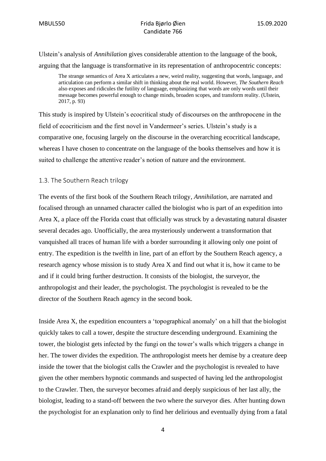Ulstein's analysis of *Annihilation* gives considerable attention to the language of the book, arguing that the language is transformative in its representation of anthropocentric concepts:

The strange semantics of Area X articulates a new, weird reality, suggesting that words, language, and articulation can perform a similar shift in thinking about the real world. However, *The Southern Reach* also exposes and ridicules the futility of language, emphasizing that words are only words until their message becomes powerful enough to change minds, broaden scopes, and transform reality. (Ulstein, 2017, p. 93)

This study is inspired by Ulstein's ecocritical study of discourses on the anthropocene in the field of ecocriticism and the first novel in Vandermeer's series. Ulstein's study is a comparative one, focusing largely on the discourse in the overarching ecocritical landscape, whereas I have chosen to concentrate on the language of the books themselves and how it is suited to challenge the attentive reader's notion of nature and the environment.

#### <span id="page-10-0"></span>1.3. The Southern Reach trilogy

The events of the first book of the Southern Reach trilogy, *Annihilation*, are narrated and focalised through an unnamed character called the biologist who is part of an expedition into Area X, a place off the Florida coast that officially was struck by a devastating natural disaster several decades ago. Unofficially, the area mysteriously underwent a transformation that vanquished all traces of human life with a border surrounding it allowing only one point of entry. The expedition is the twelfth in line, part of an effort by the Southern Reach agency, a research agency whose mission is to study Area X and find out what it is, how it came to be and if it could bring further destruction. It consists of the biologist, the surveyor, the anthropologist and their leader, the psychologist. The psychologist is revealed to be the director of the Southern Reach agency in the second book.

Inside Area X, the expedition encounters a 'topographical anomaly' on a hill that the biologist quickly takes to call a tower, despite the structure descending underground. Examining the tower, the biologist gets infected by the fungi on the tower's walls which triggers a change in her. The tower divides the expedition. The anthropologist meets her demise by a creature deep inside the tower that the biologist calls the Crawler and the psychologist is revealed to have given the other members hypnotic commands and suspected of having led the anthropologist to the Crawler. Then, the surveyor becomes afraid and deeply suspicious of her last ally, the biologist, leading to a stand-off between the two where the surveyor dies. After hunting down the psychologist for an explanation only to find her delirious and eventually dying from a fatal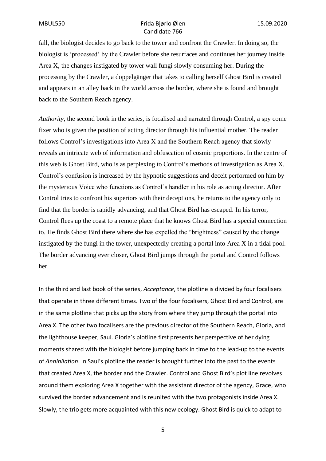fall, the biologist decides to go back to the tower and confront the Crawler. In doing so, the biologist is 'processed' by the Crawler before she resurfaces and continues her journey inside Area X, the changes instigated by tower wall fungi slowly consuming her. During the processing by the Crawler, a doppelgänger that takes to calling herself Ghost Bird is created and appears in an alley back in the world across the border, where she is found and brought back to the Southern Reach agency.

*Authority*, the second book in the series, is focalised and narrated through Control, a spy come fixer who is given the position of acting director through his influential mother. The reader follows Control's investigations into Area X and the Southern Reach agency that slowly reveals an intricate web of information and obfuscation of cosmic proportions. In the centre of this web is Ghost Bird, who is as perplexing to Control's methods of investigation as Area X. Control's confusion is increased by the hypnotic suggestions and deceit performed on him by the mysterious Voice who functions as Control's handler in his role as acting director. After Control tries to confront his superiors with their deceptions, he returns to the agency only to find that the border is rapidly advancing, and that Ghost Bird has escaped. In his terror, Control flees up the coast to a remote place that he knows Ghost Bird has a special connection to. He finds Ghost Bird there where she has expelled the "brightness" caused by the change instigated by the fungi in the tower, unexpectedly creating a portal into Area X in a tidal pool. The border advancing ever closer, Ghost Bird jumps through the portal and Control follows her.

In the third and last book of the series, *Acceptance*, the plotline is divided by four focalisers that operate in three different times. Two of the four focalisers, Ghost Bird and Control, are in the same plotline that picks up the story from where they jump through the portal into Area X. The other two focalisers are the previous director of the Southern Reach, Gloria, and the lighthouse keeper, Saul. Gloria's plotline first presents her perspective of her dying moments shared with the biologist before jumping back in time to the lead-up to the events of *Annihilation*. In Saul's plotline the reader is brought further into the past to the events that created Area X, the border and the Crawler. Control and Ghost Bird's plot line revolves around them exploring Area X together with the assistant director of the agency, Grace, who survived the border advancement and is reunited with the two protagonists inside Area X. Slowly, the trio gets more acquainted with this new ecology. Ghost Bird is quick to adapt to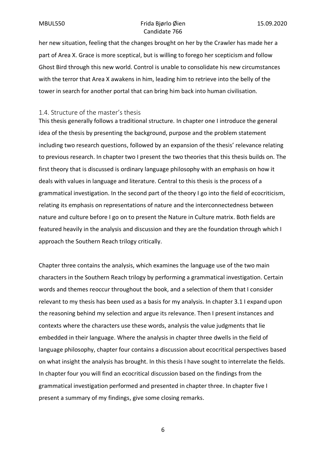her new situation, feeling that the changes brought on her by the Crawler has made her a part of Area X. Grace is more sceptical, but is willing to forego her scepticism and follow Ghost Bird through this new world. Control is unable to consolidate his new circumstances with the terror that Area X awakens in him, leading him to retrieve into the belly of the tower in search for another portal that can bring him back into human civilisation.

#### <span id="page-12-0"></span>1.4. Structure of the master's thesis

This thesis generally follows a traditional structure. In chapter one I introduce the general idea of the thesis by presenting the background, purpose and the problem statement including two research questions, followed by an expansion of the thesis' relevance relating to previous research. In chapter two I present the two theories that this thesis builds on. The first theory that is discussed is ordinary language philosophy with an emphasis on how it deals with values in language and literature. Central to this thesis is the process of a grammatical investigation. In the second part of the theory I go into the field of ecocriticism, relating its emphasis on representations of nature and the interconnectedness between nature and culture before I go on to present the Nature in Culture matrix. Both fields are featured heavily in the analysis and discussion and they are the foundation through which I approach the Southern Reach trilogy critically.

Chapter three contains the analysis, which examines the language use of the two main characters in the Southern Reach trilogy by performing a grammatical investigation. Certain words and themes reoccur throughout the book, and a selection of them that I consider relevant to my thesis has been used as a basis for my analysis. In chapter 3.1 I expand upon the reasoning behind my selection and argue its relevance. Then I present instances and contexts where the characters use these words, analysis the value judgments that lie embedded in their language. Where the analysis in chapter three dwells in the field of language philosophy, chapter four contains a discussion about ecocritical perspectives based on what insight the analysis has brought. In this thesis I have sought to interrelate the fields. In chapter four you will find an ecocritical discussion based on the findings from the grammatical investigation performed and presented in chapter three. In chapter five I present a summary of my findings, give some closing remarks.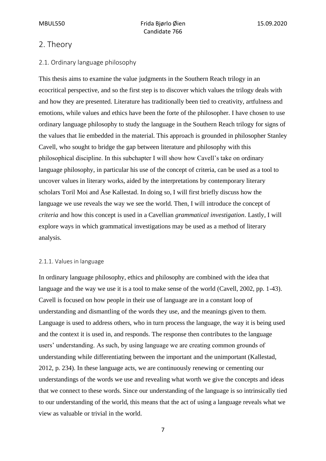## <span id="page-13-0"></span>2. Theory

#### <span id="page-13-1"></span>2.1. Ordinary language philosophy

This thesis aims to examine the value judgments in the Southern Reach trilogy in an ecocritical perspective, and so the first step is to discover which values the trilogy deals with and how they are presented. Literature has traditionally been tied to creativity, artfulness and emotions, while values and ethics have been the forte of the philosopher. I have chosen to use ordinary language philosophy to study the language in the Southern Reach trilogy for signs of the values that lie embedded in the material. This approach is grounded in philosopher Stanley Cavell, who sought to bridge the gap between literature and philosophy with this philosophical discipline. In this subchapter I will show how Cavell's take on ordinary language philosophy, in particular his use of the concept of criteria, can be used as a tool to uncover values in literary works, aided by the interpretations by contemporary literary scholars Toril Moi and Åse Kallestad. In doing so, I will first briefly discuss how the language we use reveals the way we see the world. Then, I will introduce the concept of *criteria* and how this concept is used in a Cavellian *grammatical investigation*. Lastly, I will explore ways in which grammatical investigations may be used as a method of literary analysis.

#### <span id="page-13-2"></span>2.1.1. Values in language

In ordinary language philosophy, ethics and philosophy are combined with the idea that language and the way we use it is a tool to make sense of the world (Cavell, 2002, pp. 1-43). Cavell is focused on how people in their use of language are in a constant loop of understanding and dismantling of the words they use, and the meanings given to them. Language is used to address others, who in turn process the language, the way it is being used and the context it is used in, and responds. The response then contributes to the language users' understanding. As such, by using language we are creating common grounds of understanding while differentiating between the important and the unimportant (Kallestad, 2012, p. 234). In these language acts, we are continuously renewing or cementing our understandings of the words we use and revealing what worth we give the concepts and ideas that we connect to these words. Since our understanding of the language is so intrinsically tied to our understanding of the world, this means that the act of using a language reveals what we view as valuable or trivial in the world.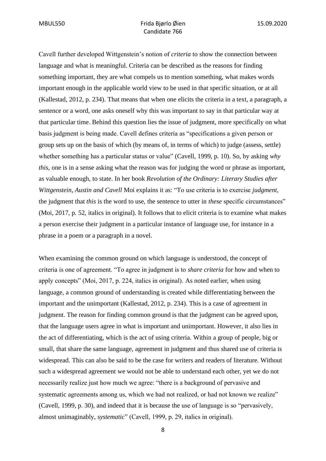Cavell further developed Wittgenstein's notion of *criteria* to show the connection between language and what is meaningful. Criteria can be described as the reasons for finding something important, they are what compels us to mention something, what makes words important enough in the applicable world view to be used in that specific situation, or at all (Kallestad, 2012, p. 234). That means that when one elicits the criteria in a text, a paragraph, a sentence or a word, one asks oneself why this was important to say in that particular way at that particular time. Behind this question lies the issue of judgment, more specifically on what basis judgment is being made. Cavell defines criteria as "specifications a given person or group sets up on the basis of which (by means of, in terms of which) to judge (assess, settle) whether something has a particular status or value" (Cavell, 1999, p. 10). So, by asking *why this*, one is in a sense asking what the reason was for judging the word or phrase as important, as valuable enough, to state. In her book *Revolution of the Ordinary: Literary Studies after Wittgenstein, Austin and Cavell* Moi explains it as: "To use criteria is to exercise *judgment*, the judgment that *this* is the word to use, the sentence to utter in *these* specific circumstances" (Moi, 2017, p. 52, italics in original). It follows that to elicit criteria is to examine what makes a person exercise their judgment in a particular instance of language use, for instance in a phrase in a poem or a paragraph in a novel.

When examining the common ground on which language is understood, the concept of criteria is one of agreement. "To agree in judgment is to *share criteria* for how and when to apply concepts" (Moi, 2017, p. 224, italics in original). As noted earlier, when using language, a common ground of understanding is created while differentiating between the important and the unimportant (Kallestad, 2012, p. 234). This is a case of agreement in judgment. The reason for finding common ground is that the judgment can be agreed upon, that the language users agree in what is important and unimportant. However, it also lies in the act of differentiating, which is the act of using criteria. Within a group of people, big or small, that share the same language, agreement in judgment and thus shared use of criteria is widespread. This can also be said to be the case for writers and readers of literature. Without such a widespread agreement we would not be able to understand each other, yet we do not necessarily realize just how much we agree: "there is a background of pervasive and systematic agreements among us, which we had not realized, or had not known we realize" (Cavell, 1999, p. 30), and indeed that it is because the use of language is so "pervasively, almost unimaginably, *systematic*" (Cavell, 1999, p. 29, italics in original).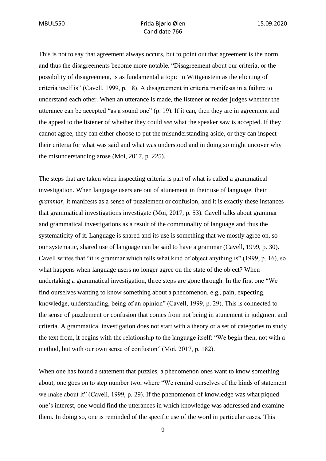This is not to say that agreement always occurs, but to point out that agreement is the norm, and thus the disagreements become more notable. "Disagreement about our criteria, or the possibility of disagreement, is as fundamental a topic in Wittgenstein as the eliciting of criteria itself is" (Cavell, 1999, p. 18). A disagreement in criteria manifests in a failure to understand each other. When an utterance is made, the listener or reader judges whether the utterance can be accepted "as a sound one" (p. 19). If it can, then they are in agreement and the appeal to the listener of whether they could *see* what the speaker saw is accepted. If they cannot agree, they can either choose to put the misunderstanding aside, or they can inspect their criteria for what was said and what was understood and in doing so might uncover why the misunderstanding arose (Moi, 2017, p. 225).

The steps that are taken when inspecting criteria is part of what is called a grammatical investigation. When language users are out of atunement in their use of language, their *grammar*, it manifests as a sense of puzzlement or confusion, and it is exactly these instances that grammatical investigations investigate (Moi, 2017, p. 53). Cavell talks about grammar and grammatical investigations as a result of the communality of language and thus the systematicity of it. Language is shared and its use is something that we mostly agree on, so our systematic, shared use of language can be said to have a grammar (Cavell, 1999, p. 30). Cavell writes that "it is grammar which tells what kind of object anything is" (1999, p. 16), so what happens when language users no longer agree on the state of the object? When undertaking a grammatical investigation, three steps are gone through. In the first one "We find ourselves wanting to know something about a phenomenon, e.g., pain, expecting, knowledge, understanding, being of an opinion" (Cavell, 1999, p. 29). This is connected to the sense of puzzlement or confusion that comes from not being in atunement in judgment and criteria. A grammatical investigation does not start with a theory or a set of categories to study the text from, it begins with the relationship to the language itself: "We begin then, not with a method, but with our own sense of confusion" (Moi, 2017, p. 182).

When one has found a statement that puzzles, a phenomenon ones want to know something about, one goes on to step number two, where "We remind ourselves of the kinds of statement we make about it" (Cavell, 1999, p. 29). If the phenomenon of knowledge was what piqued one's interest, one would find the utterances in which knowledge was addressed and examine them. In doing so, one is reminded of the specific use of the word in particular cases. This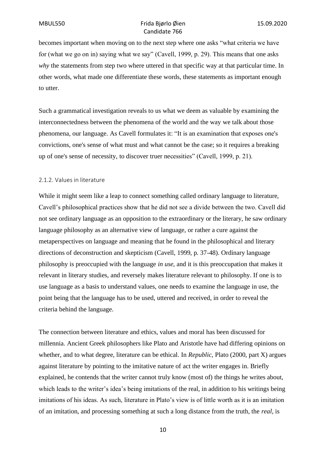becomes important when moving on to the next step where one asks "what criteria we have for (what we go on in) saying what we say" (Cavell, 1999, p. 29). This means that one asks *why* the statements from step two where uttered in that specific way at that particular time. In other words, what made one differentiate these words, these statements as important enough to utter.

Such a grammatical investigation reveals to us what we deem as valuable by examining the interconnectedness between the phenomena of the world and the way we talk about those phenomena, our language. As Cavell formulates it: "It is an examination that exposes one's convictions, one's sense of what must and what cannot be the case; so it requires a breaking up of one's sense of necessity, to discover truer necessities" (Cavell, 1999, p. 21).

#### <span id="page-16-0"></span>2.1.2. Values in literature

While it might seem like a leap to connect something called ordinary language to literature, Cavell's philosophical practices show that he did not see a divide between the two. Cavell did not see ordinary language as an opposition to the extraordinary or the literary, he saw ordinary language philosophy as an alternative view of language, or rather a cure against the metaperspectives on language and meaning that he found in the philosophical and literary directions of deconstruction and skepticism (Cavell, 1999, p. 37-48). Ordinary language philosophy is preoccupied with the language *in use,* and it is this preoccupation that makes it relevant in literary studies, and reversely makes literature relevant to philosophy. If one is to use language as a basis to understand values, one needs to examine the language in use, the point being that the language has to be used, uttered and received, in order to reveal the criteria behind the language.

The connection between literature and ethics, values and moral has been discussed for millennia. Ancient Greek philosophers like Plato and Aristotle have had differing opinions on whether, and to what degree, literature can be ethical. In *Republic*, Plato (2000, part X) argues against literature by pointing to the imitative nature of act the writer engages in. Briefly explained, he contends that the writer cannot truly know (most of) the things he writes about, which leads to the writer's idea's being imitations of the real, in addition to his writings being imitations of his ideas. As such, literature in Plato's view is of little worth as it is an imitation of an imitation, and processing something at such a long distance from the truth, the *real*, is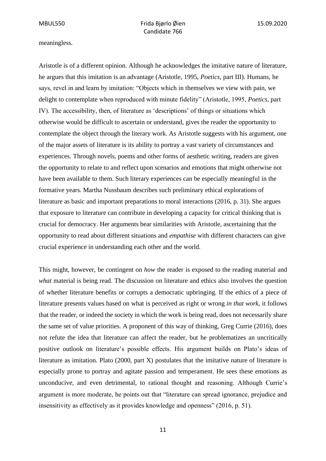meaningless.

Aristotle is of a different opinion. Although he acknowledges the imitative nature of literature, he argues that this imitation is an advantage (Aristotle, 1995, *Poetics*, part III). Humans, he says, revel in and learn by imitation: "Objects which in themselves we view with pain, we delight to contemplate when reproduced with minute fidelity" (Aristotle, 1995, *Poetics*, part IV). The accessibility, then, of literature as 'descriptions' of things or situations which otherwise would be difficult to ascertain or understand, gives the reader the opportunity to contemplate the object through the literary work. As Aristotle suggests with his argument, one of the major assets of literature is its ability to portray a vast variety of circumstances and experiences. Through novels, poems and other forms of aesthetic writing, readers are given the opportunity to relate to and reflect upon scenarios and emotions that might otherwise not have been available to them. Such literary experiences can be especially meaningful in the formative years. Martha Nussbaum describes such preliminary ethical explorations of literature as basic and important preparations to moral interactions (2016, p. 31). She argues that exposure to literature can contribute in developing a capacity for critical thinking that is crucial for democracy. Her arguments bear similarities with Aristotle, ascertaining that the opportunity to read about different situations and *empathise* with different characters can give crucial experience in understanding each other and the world.

This might, however, be contingent on *how* the reader is exposed to the reading material and *what* material is being read. The discussion on literature and ethics also involves the question of whether literature benefits or corrupts a democratic upbringing. If the ethics of a piece of literature presents values based on what is perceived as right or wrong *in that work*, it follows that the reader, or indeed the society in which the work is being read, does not necessarily share the same set of value priorities. A proponent of this way of thinking, Greg Currie (2016), does not refute the idea that literature can affect the reader, but he problematizes an uncritically positive outlook on literature's possible effects. His argument builds on Plato's ideas of literature as imitation. Plato (2000, part X) postulates that the imitative nature of literature is especially prone to portray and agitate passion and temperament. He sees these emotions as unconducive, and even detrimental, to rational thought and reasoning. Although Currie's argument is more moderate, he points out that "literature can spread ignorance, prejudice and insensitivity as effectively as it provides knowledge and openness" (2016, p. 51).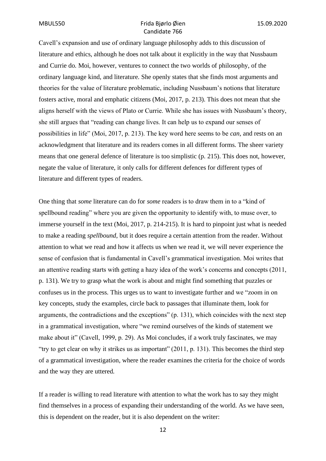Cavell's expansion and use of ordinary language philosophy adds to this discussion of literature and ethics, although he does not talk about it explicitly in the way that Nussbaum and Currie do. Moi, however, ventures to connect the two worlds of philosophy, of the ordinary language kind, and literature. She openly states that she finds most arguments and theories for the value of literature problematic, including Nussbaum's notions that literature fosters active, moral and emphatic citizens (Moi, 2017, p. 213). This does not mean that she aligns herself with the views of Plato or Currie. While she has issues with Nussbaum's theory, she still argues that "reading can change lives. It can help us to expand our senses of possibilities in life" (Moi, 2017, p. 213). The key word here seems to be *can*, and rests on an acknowledgment that literature and its readers comes in all different forms. The sheer variety means that one general defence of literature is too simplistic (p. 215). This does not, however, negate the value of literature, it only calls for different defences for different types of literature and different types of readers.

One thing that *some* literature can do for *some* readers is to draw them in to a "kind of spellbound reading" where you are given the opportunity to identify with, to muse over, to immerse yourself in the text (Moi, 2017, p. 214-215). It is hard to pinpoint just what is needed to make a reading *spellbound*, but it does require a certain attention from the reader. Without attention to what we read and how it affects us when we read it, we will never experience the sense of confusion that is fundamental in Cavell's grammatical investigation. Moi writes that an attentive reading starts with getting a hazy idea of the work's concerns and concepts (2011, p. 131). We try to grasp what the work is about and might find something that puzzles or confuses us in the process. This urges us to want to investigate further and we "zoom in on key concepts, study the examples, circle back to passages that illuminate them, look for arguments, the contradictions and the exceptions" (p. 131), which coincides with the next step in a grammatical investigation, where "we remind ourselves of the kinds of statement we make about it" (Cavell, 1999, p. 29). As Moi concludes, if a work truly fascinates, we may "try to get clear on why it strikes us as important" (2011, p. 131). This becomes the third step of a grammatical investigation, where the reader examines the criteria for the choice of words and the way they are uttered.

If a reader is willing to read literature with attention to what the work has to say they might find themselves in a process of expanding their understanding of the world. As we have seen, this is dependent on the reader, but it is also dependent on the writer: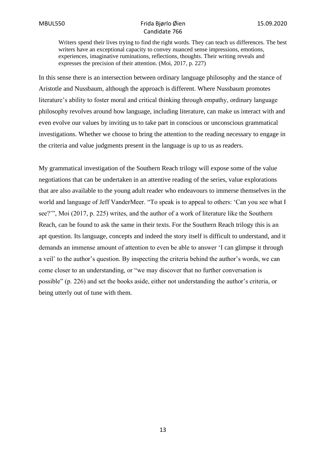Writers spend their lives trying to find the right words. They can teach us differences. The best writers have an exceptional capacity to convey nuanced sense impressions, emotions, experiences, imaginative ruminations, reflections, thoughts. Their writing reveals and expresses the precision of their attention. (Moi, 2017, p. 227)

In this sense there is an intersection between ordinary language philosophy and the stance of Aristotle and Nussbaum, although the approach is different. Where Nussbaum promotes literature's ability to foster moral and critical thinking through empathy, ordinary language philosophy revolves around how language, including literature, can make us interact with and even evolve our values by inviting us to take part in conscious or unconscious grammatical investigations. Whether we choose to bring the attention to the reading necessary to engage in the criteria and value judgments present in the language is up to us as readers.

My grammatical investigation of the Southern Reach trilogy will expose some of the value negotiations that can be undertaken in an attentive reading of the series, value explorations that are also available to the young adult reader who endeavours to immerse themselves in the world and language of Jeff VanderMeer. "To speak is to appeal to others: 'Can you see what I see?'", Moi (2017, p. 225) writes, and the author of a work of literature like the Southern Reach, can be found to ask the same in their texts. For the Southern Reach trilogy this is an apt question. Its language, concepts and indeed the story itself is difficult to understand, and it demands an immense amount of attention to even be able to answer 'I can glimpse it through a veil' to the author's question. By inspecting the criteria behind the author's words, we can come closer to an understanding, or "we may discover that no further conversation is possible" (p. 226) and set the books aside, either not understanding the author's criteria, or being utterly out of tune with them.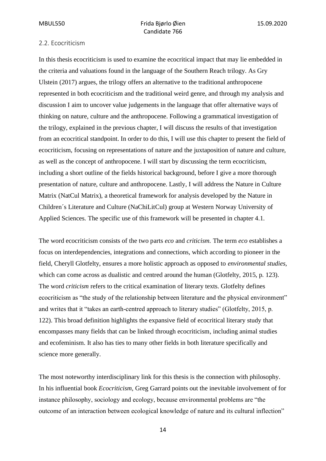#### <span id="page-20-0"></span>2.2. Ecocriticism

In this thesis ecocriticism is used to examine the ecocritical impact that may lie embedded in the criteria and valuations found in the language of the Southern Reach trilogy. As Gry Ulstein (2017) argues, the trilogy offers an alternative to the traditional anthropocene represented in both ecocriticism and the traditional weird genre, and through my analysis and discussion I aim to uncover value judgements in the language that offer alternative ways of thinking on nature, culture and the anthropocene. Following a grammatical investigation of the trilogy, explained in the previous chapter, I will discuss the results of that investigation from an ecocritical standpoint. In order to do this, I will use this chapter to present the field of ecocriticism, focusing on representations of nature and the juxtaposition of nature and culture, as well as the concept of anthropocene. I will start by discussing the term ecocriticism, including a short outline of the fields historical background, before I give a more thorough presentation of nature, culture and anthropocene. Lastly, I will address the Nature in Culture Matrix (NatCul Matrix), a theoretical framework for analysis developed by the Nature in Children´s Literature and Culture (NaChiLitCul) group at Western Norway University of Applied Sciences. The specific use of this framework will be presented in chapter 4.1.

The word ecocriticism consists of the two parts *eco* and *criticism.* The term *eco* establishes a focus on interdependencies, integrations and connections, which according to pioneer in the field, Cheryll Glotfelty, ensures a more holistic approach as opposed to *environmental studies,* which can come across as dualistic and centred around the human (Glotfelty, 2015, p. 123). The word *criticism* refers to the critical examination of literary texts. Glotfelty defines ecocriticism as "the study of the relationship between literature and the physical environment" and writes that it "takes an earth-centred approach to literary studies" (Glotfelty, 2015, p. 122). This broad definition highlights the expansive field of ecocritical literary study that encompasses many fields that can be linked through ecocriticism, including animal studies and ecofeminism. It also has ties to many other fields in both literature specifically and science more generally.

The most noteworthy interdisciplinary link for this thesis is the connection with philosophy. In his influential book *Ecocriticism*, Greg Garrard points out the inevitable involvement of for instance philosophy, sociology and ecology, because environmental problems are "the outcome of an interaction between ecological knowledge of nature and its cultural inflection"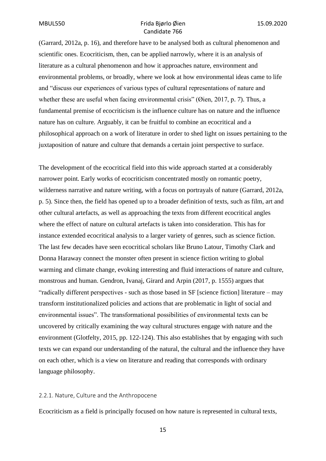(Garrard, 2012a, p. 16), and therefore have to be analysed both as cultural phenomenon and scientific ones. Ecocriticism, then, can be applied narrowly, where it is an analysis of literature as a cultural phenomenon and how it approaches nature, environment and environmental problems, or broadly, where we look at how environmental ideas came to life and "discuss our experiences of various types of cultural representations of nature and whether these are useful when facing environmental crisis" (*Oien*, 2017, p. 7). Thus, a fundamental premise of ecocriticism is the influence culture has on nature and the influence nature has on culture. Arguably, it can be fruitful to combine an ecocritical and a philosophical approach on a work of literature in order to shed light on issues pertaining to the juxtaposition of nature and culture that demands a certain joint perspective to surface.

The development of the ecocritical field into this wide approach started at a considerably narrower point. Early works of ecocriticism concentrated mostly on romantic poetry, wilderness narrative and nature writing, with a focus on portrayals of nature (Garrard, 2012a, p. 5). Since then, the field has opened up to a broader definition of texts, such as film, art and other cultural artefacts, as well as approaching the texts from different ecocritical angles where the effect of nature on cultural artefacts is taken into consideration. This has for instance extended ecocritical analysis to a larger variety of genres, such as science fiction. The last few decades have seen ecocritical scholars like Bruno Latour, Timothy Clark and Donna Haraway connect the monster often present in science fiction writing to global warming and climate change, evoking interesting and fluid interactions of nature and culture, monstrous and human. Gendron, Ivanaj, Girard and Arpin (2017, p. 1555) argues that "radically different perspectives - such as those based in SF [science fiction] literature – may transform institutionalized policies and actions that are problematic in light of social and environmental issues". The transformational possibilities of environmental texts can be uncovered by critically examining the way cultural structures engage with nature and the environment (Glotfelty, 2015, pp. 122-124). This also establishes that by engaging with such texts we can expand our understanding of the natural, the cultural and the influence they have on each other, which is a view on literature and reading that corresponds with ordinary language philosophy.

#### <span id="page-21-0"></span>2.2.1. Nature, Culture and the Anthropocene

Ecocriticism as a field is principally focused on how nature is represented in cultural texts,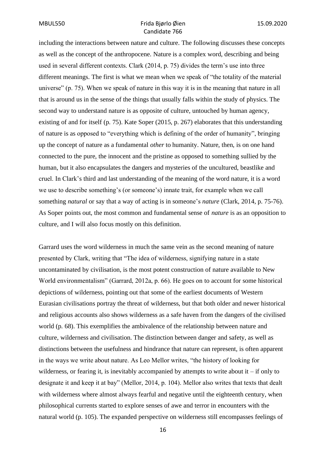including the interactions between nature and culture. The following discusses these concepts as well as the concept of the anthropocene. Nature is a complex word, describing and being used in several different contexts. Clark (2014, p. 75) divides the term's use into three different meanings. The first is what we mean when we speak of "the totality of the material universe" (p. 75). When we speak of nature in this way it is in the meaning that nature in all that is around us in the sense of the things that usually falls within the study of physics. The second way to understand nature is as opposite of culture, untouched by human agency, existing of and for itself (p. 75). Kate Soper (2015, p. 267) elaborates that this understanding of nature is as opposed to "everything which is defining of the order of humanity", bringing up the concept of nature as a fundamental *other* to humanity. Nature, then, is on one hand connected to the pure, the innocent and the pristine as opposed to something sullied by the human, but it also encapsulates the dangers and mysteries of the uncultured, beastlike and cruel. In Clark's third and last understanding of the meaning of the word nature, it is a word we use to describe something's (or someone's) innate trait, for example when we call something *natural* or say that a way of acting is in someone's *nature* (Clark, 2014, p. 75-76). As Soper points out, the most common and fundamental sense of *nature* is as an opposition to culture, and I will also focus mostly on this definition.

Garrard uses the word wilderness in much the same vein as the second meaning of nature presented by Clark, writing that "The idea of wilderness, signifying nature in a state uncontaminated by civilisation, is the most potent construction of nature available to New World environmentalism" (Garrard, 2012a, p. 66). He goes on to account for some historical depictions of wilderness, pointing out that some of the earliest documents of Western Eurasian civilisations portray the threat of wilderness, but that both older and newer historical and religious accounts also shows wilderness as a safe haven from the dangers of the civilised world (p. 68). This exemplifies the ambivalence of the relationship between nature and culture, wilderness and civilisation. The distinction between danger and safety, as well as distinctions between the usefulness and hindrance that nature can represent, is often apparent in the ways we write about nature. As Leo Mellor writes, "the history of looking for wilderness, or fearing it, is inevitably accompanied by attempts to write about it  $-$  if only to designate it and keep it at bay" (Mellor, 2014, p. 104). Mellor also writes that texts that dealt with wilderness where almost always fearful and negative until the eighteenth century, when philosophical currents started to explore senses of awe and terror in encounters with the natural world (p. 105). The expanded perspective on wilderness still encompasses feelings of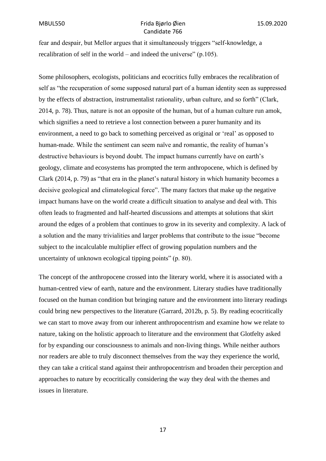fear and despair, but Mellor argues that it simultaneously triggers "self-knowledge, a recalibration of self in the world – and indeed the universe" (p.105).

Some philosophers, ecologists, politicians and ecocritics fully embraces the recalibration of self as "the recuperation of some supposed natural part of a human identity seen as suppressed by the effects of abstraction, instrumentalist rationality, urban culture, and so forth" (Clark, 2014, p. 78). Thus, nature is not an opposite of the human, but of a human culture run amok, which signifies a need to retrieve a lost connection between a purer humanity and its environment, a need to go back to something perceived as original or 'real' as opposed to human-made. While the sentiment can seem naïve and romantic, the reality of human's destructive behaviours is beyond doubt. The impact humans currently have on earth's geology, climate and ecosystems has prompted the term anthropocene, which is defined by Clark (2014, p. 79) as "that era in the planet's natural history in which humanity becomes a decisive geological and climatological force". The many factors that make up the negative impact humans have on the world create a difficult situation to analyse and deal with. This often leads to fragmented and half-hearted discussions and attempts at solutions that skirt around the edges of a problem that continues to grow in its severity and complexity. A lack of a solution and the many trivialities and larger problems that contribute to the issue "become subject to the incalculable multiplier effect of growing population numbers and the uncertainty of unknown ecological tipping points" (p. 80).

The concept of the anthropocene crossed into the literary world, where it is associated with a human-centred view of earth, nature and the environment. Literary studies have traditionally focused on the human condition but bringing nature and the environment into literary readings could bring new perspectives to the literature (Garrard, 2012b, p. 5). By reading ecocritically we can start to move away from our inherent anthropocentrism and examine how we relate to nature, taking on the holistic approach to literature and the environment that Glotfelty asked for by expanding our consciousness to animals and non-living things. While neither authors nor readers are able to truly disconnect themselves from the way they experience the world, they can take a critical stand against their anthropocentrism and broaden their perception and approaches to nature by ecocritically considering the way they deal with the themes and issues in literature.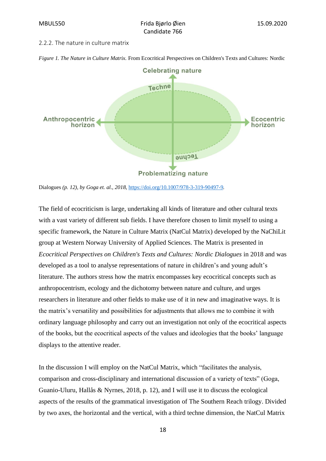#### <span id="page-24-0"></span>2.2.2. The nature in culture matrix



*Figure 1. The Nature in Culture Matrix.* From Ecocritical Perspectives on Children's Texts and Cultures: Nordic

The field of ecocriticism is large, undertaking all kinds of literature and other cultural texts with a vast variety of different sub fields. I have therefore chosen to limit myself to using a specific framework, the Nature in Culture Matrix (NatCul Matrix) developed by the NaChiLit group at Western Norway University of Applied Sciences. The Matrix is presented in *Ecocritical Perspectives on Children's Texts and Cultures: Nordic Dialogues* in 2018 and was developed as a tool to analyse representations of nature in children's and young adult's literature. The authors stress how the matrix encompasses key ecocritical concepts such as anthropocentrism, ecology and the dichotomy between nature and culture, and urges researchers in literature and other fields to make use of it in new and imaginative ways. It is the matrix's versatility and possibilities for adjustments that allows me to combine it with ordinary language philosophy and carry out an investigation not only of the ecocritical aspects of the books, but the ecocritical aspects of the values and ideologies that the books' language displays to the attentive reader.

In the discussion I will employ on the NatCul Matrix, which "facilitates the analysis, comparison and cross-disciplinary and international discussion of a variety of texts" (Goga, Guanio-Uluru, Hallås & Nyrnes, 2018, p. 12), and I will use it to discuss the ecological aspects of the results of the grammatical investigation of The Southern Reach trilogy. Divided by two axes, the horizontal and the vertical, with a third techne dimension, the NatCul Matrix

Dialogues *(p. 12), by Goga et. al., 2018,* <https://doi.org/10.1007/978-3-319-90497-9>*.*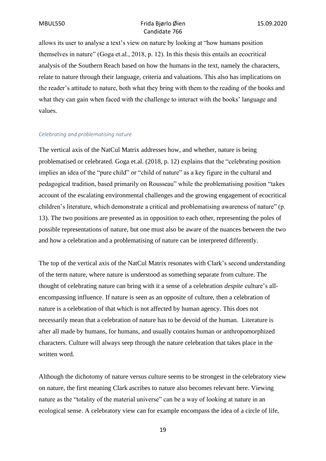allows its user to analyse a text's view on nature by looking at "how humans position themselves in nature" (Goga et.al., 2018, p. 12). In this thesis this entails an ecocritical analysis of the Southern Reach based on how the humans in the text, namely the characters, relate to nature through their language, criteria and valuations. This also has implications on the reader's attitude to nature, both what they bring with them to the reading of the books and what they can gain when faced with the challenge to interact with the books' language and values.

#### *Celebrating and problematising nature*

The vertical axis of the NatCul Matrix addresses how, and whether, nature is being problematised or celebrated. Goga et.al. (2018, p. 12) explains that the "celebrating position implies an idea of the "pure child" or "child of nature" as a key figure in the cultural and pedagogical tradition, based primarily on Rousseau" while the problematising position "takes account of the escalating environmental challenges and the growing engagement of ecocritical children's literature, which demonstrate a critical and problematising awareness of nature" (p. 13). The two positions are presented as in opposition to each other, representing the poles of possible representations of nature, but one must also be aware of the nuances between the two and how a celebration and a problematising of nature can be interpreted differently.

The top of the vertical axis of the NatCul Matrix resonates with Clark's second understanding of the term nature, where nature is understood as something separate from culture. The thought of celebrating nature can bring with it a sense of a celebration *despite* culture's allencompassing influence. If nature is seen as an opposite of culture, then a celebration of nature is a celebration of that which is not affected by human agency. This does not necessarily mean that a celebration of nature has to be devoid of the human. Literature is after all made by humans, for humans, and usually contains human or anthropomorphized characters. Culture will always seep through the nature celebration that takes place in the written word.

Although the dichotomy of nature versus culture seems to be strongest in the celebratory view on nature, the first meaning Clark ascribes to nature also becomes relevant here. Viewing nature as the "totality of the material universe" can be a way of looking at nature in an ecological sense. A celebratory view can for example encompass the idea of a circle of life,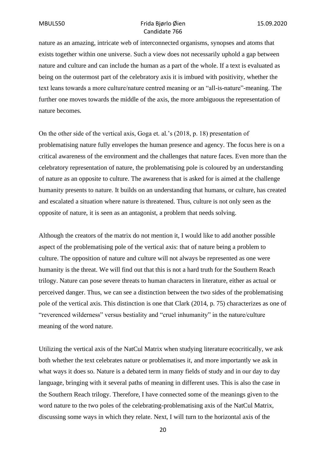nature as an amazing, intricate web of interconnected organisms, synopses and atoms that exists together within one universe. Such a view does not necessarily uphold a gap between nature and culture and can include the human as a part of the whole. If a text is evaluated as being on the outermost part of the celebratory axis it is imbued with positivity, whether the text leans towards a more culture/nature centred meaning or an "all-is-nature"-meaning. The further one moves towards the middle of the axis, the more ambiguous the representation of nature becomes.

On the other side of the vertical axis, Goga et. al.'s (2018, p. 18) presentation of problematising nature fully envelopes the human presence and agency. The focus here is on a critical awareness of the environment and the challenges that nature faces. Even more than the celebratory representation of nature, the problematising pole is coloured by an understanding of nature as an opposite to culture. The awareness that is asked for is aimed at the challenge humanity presents to nature. It builds on an understanding that humans, or culture, has created and escalated a situation where nature is threatened. Thus, culture is not only seen as the opposite of nature, it is seen as an antagonist, a problem that needs solving.

Although the creators of the matrix do not mention it, I would like to add another possible aspect of the problematising pole of the vertical axis: that of nature being a problem to culture. The opposition of nature and culture will not always be represented as one were humanity is the threat. We will find out that this is not a hard truth for the Southern Reach trilogy. Nature can pose severe threats to human characters in literature, either as actual or perceived danger. Thus, we can see a distinction between the two sides of the problematising pole of the vertical axis. This distinction is one that Clark (2014, p. 75) characterizes as one of "reverenced wilderness" versus bestiality and "cruel inhumanity" in the nature/culture meaning of the word nature.

Utilizing the vertical axis of the NatCul Matrix when studying literature ecocritically, we ask both whether the text celebrates nature or problematises it, and more importantly we ask in what ways it does so. Nature is a debated term in many fields of study and in our day to day language, bringing with it several paths of meaning in different uses. This is also the case in the Southern Reach trilogy. Therefore, I have connected some of the meanings given to the word nature to the two poles of the celebrating-problematising axis of the NatCul Matrix, discussing some ways in which they relate. Next, I will turn to the horizontal axis of the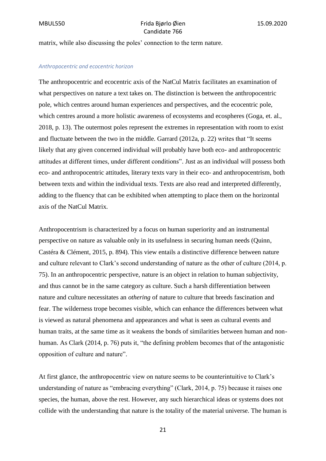matrix, while also discussing the poles' connection to the term nature.

#### *Anthropocentric and ecocentric horizon*

The anthropocentric and ecocentric axis of the NatCul Matrix facilitates an examination of what perspectives on nature a text takes on. The distinction is between the anthropocentric pole, which centres around human experiences and perspectives, and the ecocentric pole, which centres around a more holistic awareness of ecosystems and ecospheres (Goga, et. al., 2018, p. 13). The outermost poles represent the extremes in representation with room to exist and fluctuate between the two in the middle. Garrard (2012a, p. 22) writes that "It seems likely that any given concerned individual will probably have both eco- and anthropocentric attitudes at different times, under different conditions". Just as an individual will possess both eco- and anthropocentric attitudes, literary texts vary in their eco- and anthropocentrism, both between texts and within the individual texts. Texts are also read and interpreted differently, adding to the fluency that can be exhibited when attempting to place them on the horizontal axis of the NatCul Matrix.

Anthropocentrism is characterized by a focus on human superiority and an instrumental perspective on nature as valuable only in its usefulness in securing human needs (Quinn, Castéra & Clément, 2015, p. 894). This view entails a distinctive difference between nature and culture relevant to Clark's second understanding of nature as the other of culture (2014, p. 75). In an anthropocentric perspective, nature is an object in relation to human subjectivity, and thus cannot be in the same category as culture. Such a harsh differentiation between nature and culture necessitates an *othering* of nature to culture that breeds fascination and fear. The wilderness trope becomes visible, which can enhance the differences between what is viewed as natural phenomena and appearances and what is seen as cultural events and human traits, at the same time as it weakens the bonds of similarities between human and nonhuman. As Clark (2014, p. 76) puts it, "the defining problem becomes that of the antagonistic opposition of culture and nature".

At first glance, the anthropocentric view on nature seems to be counterintuitive to Clark's understanding of nature as "embracing everything" (Clark, 2014, p. 75) because it raises one species, the human, above the rest. However, any such hierarchical ideas or systems does not collide with the understanding that nature is the totality of the material universe. The human is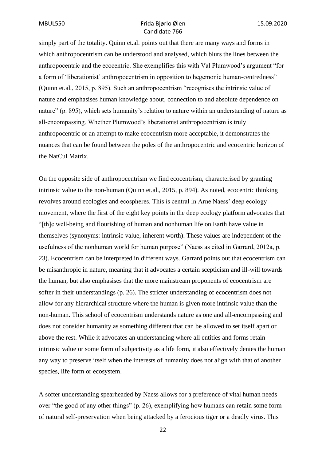simply part of the totality. Quinn et.al. points out that there are many ways and forms in which anthropocentrism can be understood and analysed, which blurs the lines between the anthropocentric and the ecocentric. She exemplifies this with Val Plumwood's argument "for a form of 'liberationist' anthropocentrism in opposition to hegemonic human-centredness" (Quinn et.al., 2015, p. 895). Such an anthropocentrism "recognises the intrinsic value of nature and emphasises human knowledge about, connection to and absolute dependence on nature" (p. 895), which sets humanity's relation to nature within an understanding of nature as all-encompassing. Whether Plumwood's liberationist anthropocentrism is truly anthropocentric or an attempt to make ecocentrism more acceptable, it demonstrates the nuances that can be found between the poles of the anthropocentric and ecocentric horizon of the NatCul Matrix.

On the opposite side of anthropocentrism we find ecocentrism, characterised by granting intrinsic value to the non-human (Quinn et.al., 2015, p. 894). As noted, ecocentric thinking revolves around ecologies and ecospheres. This is central in Arne Naess' deep ecology movement, where the first of the eight key points in the deep ecology platform advocates that "[th]e well-being and flourishing of human and nonhuman life on Earth have value in themselves (synonyms: intrinsic value, inherent worth). These values are independent of the usefulness of the nonhuman world for human purpose" (Naess as cited in Garrard, 2012a, p. 23). Ecocentrism can be interpreted in different ways. Garrard points out that ecocentrism can be misanthropic in nature, meaning that it advocates a certain scepticism and ill-will towards the human, but also emphasises that the more mainstream proponents of ecocentrism are softer in their understandings (p. 26). The stricter understanding of ecocentrism does not allow for any hierarchical structure where the human is given more intrinsic value than the non-human. This school of ecocentrism understands nature as one and all-encompassing and does not consider humanity as something different that can be allowed to set itself apart or above the rest. While it advocates an understanding where all entities and forms retain intrinsic value or some form of subjectivity as a life form, it also effectively denies the human any way to preserve itself when the interests of humanity does not align with that of another species, life form or ecosystem.

A softer understanding spearheaded by Naess allows for a preference of vital human needs over "the good of any other things" (p. 26), exemplifying how humans can retain some form of natural self-preservation when being attacked by a ferocious tiger or a deadly virus. This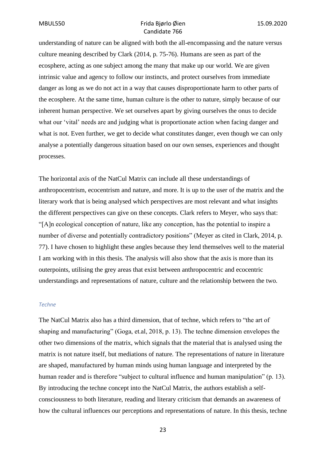understanding of nature can be aligned with both the all-encompassing and the nature versus culture meaning described by Clark (2014, p. 75-76). Humans are seen as part of the ecosphere, acting as one subject among the many that make up our world. We are given intrinsic value and agency to follow our instincts, and protect ourselves from immediate danger as long as we do not act in a way that causes disproportionate harm to other parts of the ecosphere. At the same time, human culture is the other to nature, simply because of our inherent human perspective. We set ourselves apart by giving ourselves the onus to decide what our 'vital' needs are and judging what is proportionate action when facing danger and what is not. Even further, we get to decide what constitutes danger, even though we can only analyse a potentially dangerous situation based on our own senses, experiences and thought processes.

The horizontal axis of the NatCul Matrix can include all these understandings of anthropocentrism, ecocentrism and nature, and more. It is up to the user of the matrix and the literary work that is being analysed which perspectives are most relevant and what insights the different perspectives can give on these concepts. Clark refers to Meyer, who says that: "[A]n ecological conception of nature, like any conception, has the potential to inspire a number of diverse and potentially contradictory positions" (Meyer as cited in Clark, 2014, p. 77). I have chosen to highlight these angles because they lend themselves well to the material I am working with in this thesis. The analysis will also show that the axis is more than its outerpoints, utilising the grey areas that exist between anthropocentric and ecocentric understandings and representations of nature, culture and the relationship between the two.

#### *Techne*

The NatCul Matrix also has a third dimension, that of techne, which refers to "the art of shaping and manufacturing" (Goga, et.al, 2018, p. 13). The techne dimension envelopes the other two dimensions of the matrix, which signals that the material that is analysed using the matrix is not nature itself, but mediations of nature. The representations of nature in literature are shaped, manufactured by human minds using human language and interpreted by the human reader and is therefore "subject to cultural influence and human manipulation" (p. 13). By introducing the techne concept into the NatCul Matrix, the authors establish a selfconsciousness to both literature, reading and literary criticism that demands an awareness of how the cultural influences our perceptions and representations of nature. In this thesis, techne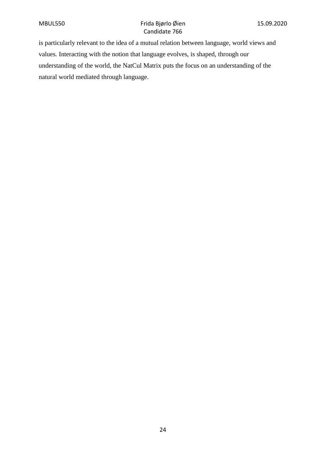is particularly relevant to the idea of a mutual relation between language, world views and values. Interacting with the notion that language evolves, is shaped, through our understanding of the world, the NatCul Matrix puts the focus on an understanding of the natural world mediated through language.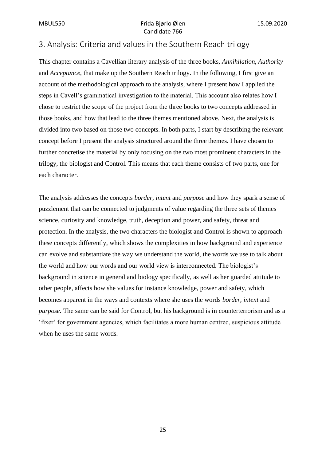# <span id="page-31-0"></span>3. Analysis: Criteria and values in the Southern Reach trilogy

This chapter contains a Cavellian literary analysis of the three books, *Annihilation*, *Authority* and *Acceptance*, that make up the Southern Reach trilogy. In the following, I first give an account of the methodological approach to the analysis, where I present how I applied the steps in Cavell's grammatical investigation to the material. This account also relates how I chose to restrict the scope of the project from the three books to two concepts addressed in those books, and how that lead to the three themes mentioned above. Next, the analysis is divided into two based on those two concepts. In both parts, I start by describing the relevant concept before I present the analysis structured around the three themes. I have chosen to further concretise the material by only focusing on the two most prominent characters in the trilogy, the biologist and Control. This means that each theme consists of two parts, one for each character.

The analysis addresses the concepts *border*, *intent* and *purpose* and how they spark a sense of puzzlement that can be connected to judgments of value regarding the three sets of themes science, curiosity and knowledge, truth, deception and power, and safety, threat and protection. In the analysis, the two characters the biologist and Control is shown to approach these concepts differently, which shows the complexities in how background and experience can evolve and substantiate the way we understand the world, the words we use to talk about the world and how our words and our world view is interconnected. The biologist's background in science in general and biology specifically, as well as her guarded attitude to other people, affects how she values for instance knowledge, power and safety, which becomes apparent in the ways and contexts where she uses the words *border, intent* and *purpose*. The same can be said for Control, but his background is in counterterrorism and as a 'fixer' for government agencies, which facilitates a more human centred, suspicious attitude when he uses the same words.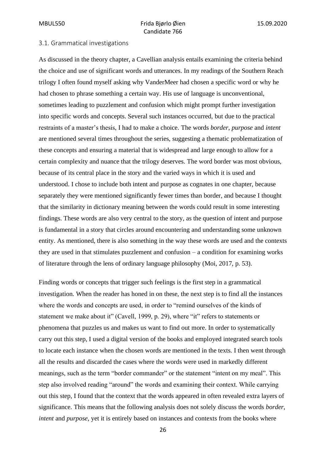#### <span id="page-32-0"></span>3.1. Grammatical investigations

As discussed in the theory chapter, a Cavellian analysis entails examining the criteria behind the choice and use of significant words and utterances. In my readings of the Southern Reach trilogy I often found myself asking why VanderMeer had chosen a specific word or why he had chosen to phrase something a certain way. His use of language is unconventional, sometimes leading to puzzlement and confusion which might prompt further investigation into specific words and concepts. Several such instances occurred, but due to the practical restraints of a master's thesis, I had to make a choice. The words *border*, *purpose* and *intent* are mentioned several times throughout the series, suggesting a thematic problematization of these concepts and ensuring a material that is widespread and large enough to allow for a certain complexity and nuance that the trilogy deserves. The word border was most obvious, because of its central place in the story and the varied ways in which it is used and understood. I chose to include both intent and purpose as cognates in one chapter, because separately they were mentioned significantly fewer times than border, and because I thought that the similarity in dictionary meaning between the words could result in some interesting findings. These words are also very central to the story, as the question of intent and purpose is fundamental in a story that circles around encountering and understanding some unknown entity. As mentioned, there is also something in the way these words are used and the contexts they are used in that stimulates puzzlement and confusion – a condition for examining works of literature through the lens of ordinary language philosophy (Moi, 2017, p. 53).

Finding words or concepts that trigger such feelings is the first step in a grammatical investigation. When the reader has honed in on these, the next step is to find all the instances where the words and concepts are used, in order to "remind ourselves of the kinds of statement we make about it" (Cavell, 1999, p. 29), where "it" refers to statements or phenomena that puzzles us and makes us want to find out more. In order to systematically carry out this step, I used a digital version of the books and employed integrated search tools to locate each instance when the chosen words are mentioned in the texts. I then went through all the results and discarded the cases where the words were used in markedly different meanings, such as the term "border commander" or the statement "intent on my meal". This step also involved reading "around" the words and examining their context. While carrying out this step, I found that the context that the words appeared in often revealed extra layers of significance. This means that the following analysis does not solely discuss the words *border*, *intent* and *purpose*, yet it is entirely based on instances and contexts from the books where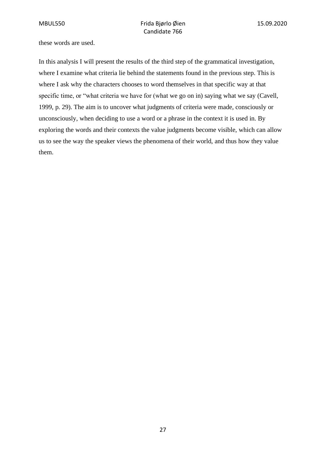these words are used.

In this analysis I will present the results of the third step of the grammatical investigation, where I examine what criteria lie behind the statements found in the previous step. This is where I ask why the characters chooses to word themselves in that specific way at that specific time, or "what criteria we have for (what we go on in) saying what we say (Cavell, 1999, p. 29). The aim is to uncover what judgments of criteria were made, consciously or unconsciously, when deciding to use a word or a phrase in the context it is used in. By exploring the words and their contexts the value judgments become visible, which can allow us to see the way the speaker views the phenomena of their world, and thus how they value them.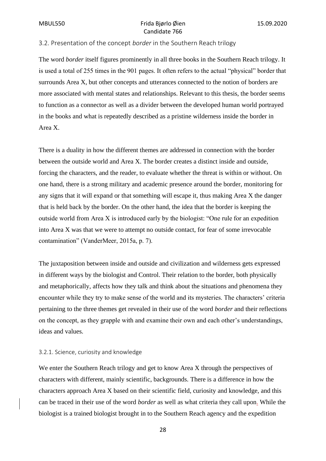#### <span id="page-34-0"></span>3.2. Presentation of the concept *border* in the Southern Reach trilogy

The word *border* itself figures prominently in all three books in the Southern Reach trilogy. It is used a total of 255 times in the 901 pages. It often refers to the actual "physical" border that surrounds Area X, but other concepts and utterances connected to the notion of borders are more associated with mental states and relationships. Relevant to this thesis, the border seems to function as a connector as well as a divider between the developed human world portrayed in the books and what is repeatedly described as a pristine wilderness inside the border in Area X.

There is a duality in how the different themes are addressed in connection with the border between the outside world and Area X. The border creates a distinct inside and outside, forcing the characters, and the reader, to evaluate whether the threat is within or without. On one hand, there is a strong military and academic presence around the border, monitoring for any signs that it will expand or that something will escape it, thus making Area X the danger that is held back by the border. On the other hand, the idea that the border is keeping the outside world from Area X is introduced early by the biologist: "One rule for an expedition into Area X was that we were to attempt no outside contact, for fear of some irrevocable contamination" (VanderMeer, 2015a, p. 7).

The juxtaposition between inside and outside and civilization and wilderness gets expressed in different ways by the biologist and Control. Their relation to the border, both physically and metaphorically, affects how they talk and think about the situations and phenomena they encounter while they try to make sense of the world and its mysteries. The characters' criteria pertaining to the three themes get revealed in their use of the word *border* and their reflections on the concept, as they grapple with and examine their own and each other's understandings, ideas and values.

#### <span id="page-34-1"></span>3.2.1. Science, curiosity and knowledge

We enter the Southern Reach trilogy and get to know Area X through the perspectives of characters with different, mainly scientific, backgrounds. There is a difference in how the characters approach Area X based on their scientific field, curiosity and knowledge, and this can be traced in their use of the word *border* as well as what criteria they call upon. While the biologist is a trained biologist brought in to the Southern Reach agency and the expedition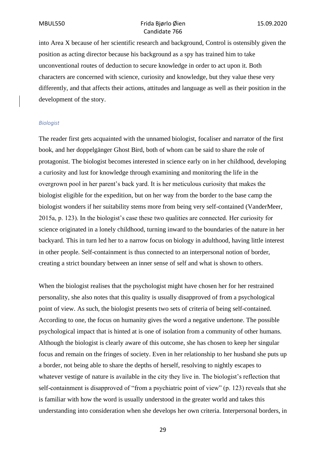into Area X because of her scientific research and background, Control is ostensibly given the position as acting director because his background as a spy has trained him to take unconventional routes of deduction to secure knowledge in order to act upon it. Both characters are concerned with science, curiosity and knowledge, but they value these very differently, and that affects their actions, attitudes and language as well as their position in the development of the story.

#### *Biologist*

The reader first gets acquainted with the unnamed biologist, focaliser and narrator of the first book, and her doppelgänger Ghost Bird, both of whom can be said to share the role of protagonist. The biologist becomes interested in science early on in her childhood, developing a curiosity and lust for knowledge through examining and monitoring the life in the overgrown pool in her parent's back yard. It is her meticulous curiosity that makes the biologist eligible for the expedition, but on her way from the border to the base camp the biologist wonders if her suitability stems more from being very self-contained (VanderMeer, 2015a, p. 123). In the biologist's case these two qualities are connected. Her curiosity for science originated in a lonely childhood, turning inward to the boundaries of the nature in her backyard. This in turn led her to a narrow focus on biology in adulthood, having little interest in other people. Self-containment is thus connected to an interpersonal notion of border, creating a strict boundary between an inner sense of self and what is shown to others.

When the biologist realises that the psychologist might have chosen her for her restrained personality, she also notes that this quality is usually disapproved of from a psychological point of view. As such, the biologist presents two sets of criteria of being self-contained. According to one, the focus on humanity gives the word a negative undertone. The possible psychological impact that is hinted at is one of isolation from a community of other humans. Although the biologist is clearly aware of this outcome, she has chosen to keep her singular focus and remain on the fringes of society. Even in her relationship to her husband she puts up a border, not being able to share the depths of herself, resolving to nightly escapes to whatever vestige of nature is available in the city they live in. The biologist's reflection that self-containment is disapproved of "from a psychiatric point of view" (p. 123) reveals that she is familiar with how the word is usually understood in the greater world and takes this understanding into consideration when she develops her own criteria. Interpersonal borders, in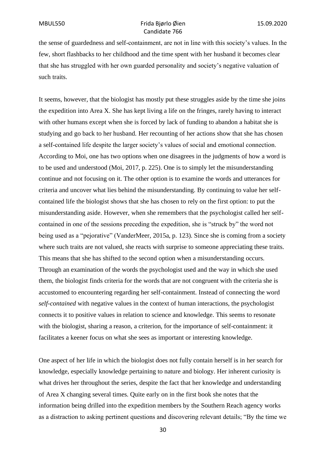the sense of guardedness and self-containment, are not in line with this society's values. In the few, short flashbacks to her childhood and the time spent with her husband it becomes clear that she has struggled with her own guarded personality and society's negative valuation of such traits.

It seems, however, that the biologist has mostly put these struggles aside by the time she joins the expedition into Area X. She has kept living a life on the fringes, rarely having to interact with other humans except when she is forced by lack of funding to abandon a habitat she is studying and go back to her husband. Her recounting of her actions show that she has chosen a self-contained life despite the larger society's values of social and emotional connection. According to Moi, one has two options when one disagrees in the judgments of how a word is to be used and understood (Moi, 2017, p. 225). One is to simply let the misunderstanding continue and not focusing on it. The other option is to examine the words and utterances for criteria and uncover what lies behind the misunderstanding. By continuing to value her selfcontained life the biologist shows that she has chosen to rely on the first option: to put the misunderstanding aside. However, when she remembers that the psychologist called her selfcontained in one of the sessions preceding the expedition, she is "struck by" the word not being used as a "pejorative" (VanderMeer, 2015a, p. 123). Since she is coming from a society where such traits are not valued, she reacts with surprise to someone appreciating these traits. This means that she has shifted to the second option when a misunderstanding occurs. Through an examination of the words the psychologist used and the way in which she used them, the biologist finds criteria for the words that are not congruent with the criteria she is accustomed to encountering regarding her self-containment. Instead of connecting the word *self-contained* with negative values in the context of human interactions, the psychologist connects it to positive values in relation to science and knowledge. This seems to resonate with the biologist, sharing a reason, a criterion, for the importance of self-containment: it facilitates a keener focus on what she sees as important or interesting knowledge.

One aspect of her life in which the biologist does not fully contain herself is in her search for knowledge, especially knowledge pertaining to nature and biology. Her inherent curiosity is what drives her throughout the series, despite the fact that her knowledge and understanding of Area X changing several times. Quite early on in the first book she notes that the information being drilled into the expedition members by the Southern Reach agency works as a distraction to asking pertinent questions and discovering relevant details; "By the time we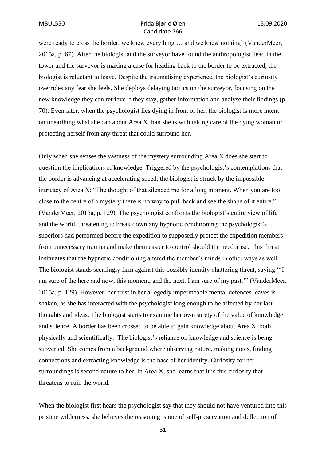were ready to cross the border, we knew everything … and we knew nothing" (VanderMeer, 2015a, p. 67). After the biologist and the surveyor have found the anthropologist dead in the tower and the surveyor is making a case for heading back to the border to be extracted, the biologist is reluctant to leave. Despite the traumatising experience, the biologist's curiosity overrides any fear she feels. She deploys delaying tactics on the surveyor, focusing on the new knowledge they can retrieve if they stay, gather information and analyse their findings (p. 70). Even later, when the psychologist lies dying in front of her, the biologist is more intent on unearthing what she can about Area X than she is with taking care of the dying woman or protecting herself from any threat that could surround her.

Only when she senses the vastness of the mystery surrounding Area X does she start to question the implications of knowledge. Triggered by the psychologist's contemplations that the border is advancing at accelerating speed, the biologist is struck by the impossible intricacy of Area X: "The thought of that silenced me for a long moment. When you are too close to the centre of a mystery there is no way to pull back and see the shape of it entire." (VanderMeer, 2015a, p. 129). The psychologist confronts the biologist's entire view of life and the world, threatening to break down any hypnotic conditioning the psychologist's superiors had performed before the expedition to supposedly protect the expedition members from unnecessary trauma and make them easier to control should the need arise. This threat insinuates that the hypnotic conditioning altered the member's minds in other ways as well. The biologist stands seemingly firm against this possibly identity-shattering threat, saying "'I am sure of the here and now, this moment, and the next. I am sure of my past.'" (VanderMeer, 2015a, p. 129). However, her trust in her allegedly impermeable mental defences leaves is shaken, as she has interacted with the psychologist long enough to be affected by her last thoughts and ideas. The biologist starts to examine her own surety of the value of knowledge and science. A border has been crossed to be able to gain knowledge about Area X, both physically and scientifically. The biologist's reliance on knowledge and science is being subverted. She comes from a background where observing nature, making notes, finding connections and extracting knowledge is the base of her identity. Curiosity for her surroundings is second nature to her. In Area X, she learns that it is this curiosity that threatens to ruin the world.

When the biologist first hears the psychologist say that they should not have ventured into this pristine wilderness, she believes the reasoning is one of self-preservation and deflection of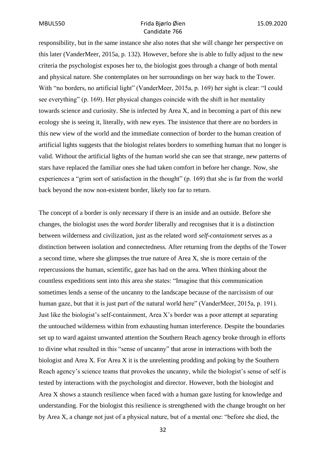responsibility, but in the same instance she also notes that she will change her perspective on this later (VanderMeer, 2015a, p. 132). However, before she is able to fully adjust to the new criteria the psychologist exposes her to, the biologist goes through a change of both mental and physical nature. She contemplates on her surroundings on her way back to the Tower. With "no borders, no artificial light" (VanderMeer, 2015a, p. 169) her sight is clear: "I could see everything" (p. 169). Her physical changes coincide with the shift in her mentality towards science and curiosity. She is infected by Area X, and in becoming a part of this new ecology she is seeing it, literally, with new eyes. The insistence that there are no borders in this new view of the world and the immediate connection of border to the human creation of artificial lights suggests that the biologist relates borders to something human that no longer is valid. Without the artificial lights of the human world she can see that strange, new patterns of stars have replaced the familiar ones she had taken comfort in before her change. Now, she experiences a "grim sort of satisfaction in the thought" (p. 169) that she is far from the world back beyond the now non-existent border, likely too far to return.

The concept of a border is only necessary if there is an inside and an outside. Before she changes, the biologist uses the word *border* liberally and recognises that it is a distinction between wilderness and civilization, just as the related word *self-containment* serves as a distinction between isolation and connectedness. After returning from the depths of the Tower a second time, where she glimpses the true nature of Area X, she is more certain of the repercussions the human, scientific, gaze has had on the area. When thinking about the countless expeditions sent into this area she states: "Imagine that this communication sometimes lends a sense of the uncanny to the landscape because of the narcissism of our human gaze, but that it is just part of the natural world here" (VanderMeer, 2015a, p. 191). Just like the biologist's self-containment, Area X's border was a poor attempt at separating the untouched wilderness within from exhausting human interference. Despite the boundaries set up to ward against unwanted attention the Southern Reach agency broke through in efforts to divine what resulted in this "sense of uncanny" that arose in interactions with both the biologist and Area X. For Area X it is the unrelenting prodding and poking by the Southern Reach agency's science teams that provokes the uncanny, while the biologist's sense of self is tested by interactions with the psychologist and director. However, both the biologist and Area X shows a staunch resilience when faced with a human gaze lusting for knowledge and understanding. For the biologist this resilience is strengthened with the change brought on her by Area X, a change not just of a physical nature, but of a mental one: "before she died, the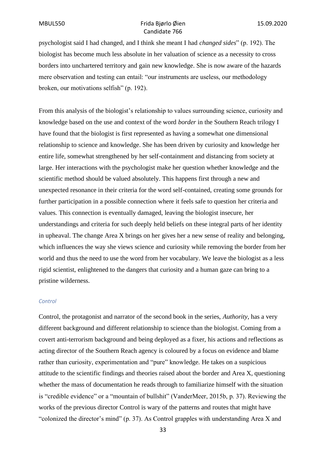psychologist said I had changed, and I think she meant I had *changed sides*" (p. 192). The biologist has become much less absolute in her valuation of science as a necessity to cross borders into unchartered territory and gain new knowledge. She is now aware of the hazards mere observation and testing can entail: "our instruments are useless, our methodology broken, our motivations selfish" (p. 192).

From this analysis of the biologist's relationship to values surrounding science, curiosity and knowledge based on the use and context of the word *border* in the Southern Reach trilogy I have found that the biologist is first represented as having a somewhat one dimensional relationship to science and knowledge. She has been driven by curiosity and knowledge her entire life, somewhat strengthened by her self-containment and distancing from society at large. Her interactions with the psychologist make her question whether knowledge and the scientific method should be valued absolutely. This happens first through a new and unexpected resonance in their criteria for the word self-contained, creating some grounds for further participation in a possible connection where it feels safe to question her criteria and values. This connection is eventually damaged, leaving the biologist insecure, her understandings and criteria for such deeply held beliefs on these integral parts of her identity in upheaval. The change Area X brings on her gives her a new sense of reality and belonging, which influences the way she views science and curiosity while removing the border from her world and thus the need to use the word from her vocabulary. We leave the biologist as a less rigid scientist, enlightened to the dangers that curiosity and a human gaze can bring to a pristine wilderness.

#### *Control*

Control, the protagonist and narrator of the second book in the series, *Authority*, has a very different background and different relationship to science than the biologist. Coming from a covert anti-terrorism background and being deployed as a fixer, his actions and reflections as acting director of the Southern Reach agency is coloured by a focus on evidence and blame rather than curiosity, experimentation and "pure" knowledge. He takes on a suspicious attitude to the scientific findings and theories raised about the border and Area X, questioning whether the mass of documentation he reads through to familiarize himself with the situation is "credible evidence" or a "mountain of bullshit" (VanderMeer, 2015b, p. 37). Reviewing the works of the previous director Control is wary of the patterns and routes that might have "colonized the director's mind" (p. 37). As Control grapples with understanding Area X and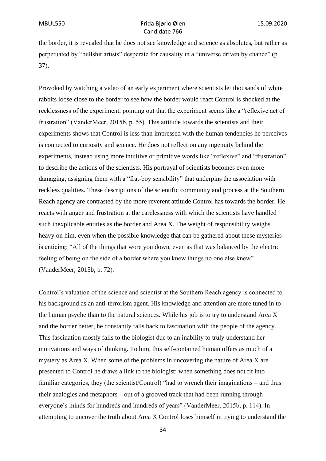the border, it is revealed that he does not see knowledge and science as absolutes, but rather as perpetuated by "bullshit artists" desperate for causality in a "universe driven by chance" (p. 37).

Provoked by watching a video of an early experiment where scientists let thousands of white rabbits loose close to the border to see how the border would react Control is shocked at the recklessness of the experiment, pointing out that the experiment seems like a "reflexive act of frustration" (VanderMeer, 2015b, p. 55). This attitude towards the scientists and their experiments shows that Control is less than impressed with the human tendencies he perceives is connected to curiosity and science. He does not reflect on any ingenuity behind the experiments, instead using more intuitive or primitive words like "reflexive" and "frustration" to describe the actions of the scientists. His portrayal of scientists becomes even more damaging, assigning them with a "frat-boy sensibility" that underpins the association with reckless qualities. These descriptions of the scientific community and process at the Southern Reach agency are contrasted by the more reverent attitude Control has towards the border. He reacts with anger and frustration at the carelessness with which the scientists have handled such inexplicable entities as the border and Area X. The weight of responsibility weighs heavy on him, even when the possible knowledge that can be gathered about these mysteries is enticing: "All of the things that wore you down, even as that was balanced by the electric feeling of being on the side of a border where you knew things no one else knew" (VanderMeer, 2015b, p. 72).

Control's valuation of the science and scientist at the Southern Reach agency is connected to his background as an anti-terrorism agent. His knowledge and attention are more tuned in to the human psyche than to the natural sciences. While his job is to try to understand Area X and the border better, he constantly falls back to fascination with the people of the agency. This fascination mostly falls to the biologist due to an inability to truly understand her motivations and ways of thinking. To him, this self-contained human offers as much of a mystery as Area X. When some of the problems in uncovering the nature of Area X are presented to Control he draws a link to the biologist: when something does not fit into familiar categories, they (the scientist/Control) "had to wrench their imaginations – and thus their analogies and metaphors – out of a grooved track that had been running through everyone's minds for hundreds and hundreds of years" (VanderMeer, 2015b, p. 114). In attempting to uncover the truth about Area X Control loses himself in trying to understand the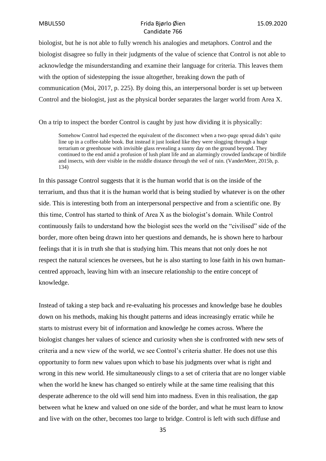biologist, but he is not able to fully wrench his analogies and metaphors. Control and the biologist disagree so fully in their judgments of the value of science that Control is not able to acknowledge the misunderstanding and examine their language for criteria. This leaves them with the option of sidestepping the issue altogether, breaking down the path of communication (Moi, 2017, p. 225). By doing this, an interpersonal border is set up between Control and the biologist, just as the physical border separates the larger world from Area X.

On a trip to inspect the border Control is caught by just how dividing it is physically:

Somehow Control had expected the equivalent of the disconnect when a two-page spread didn't quite line up in a coffee-table book. But instead it just looked like they were slogging through a huge terrarium or greenhouse with invisible glass revealing a sunny day on the ground beyond. They continued to the end amid a profusion of lush plant life and an alarmingly crowded landscape of birdlife and insects, with deer visible in the middle distance through the veil of rain. (VanderMeer, 2015b, p. 134)

In this passage Control suggests that it is the human world that is on the inside of the terrarium, and thus that it is the human world that is being studied by whatever is on the other side. This is interesting both from an interpersonal perspective and from a scientific one. By this time, Control has started to think of Area X as the biologist's domain. While Control continuously fails to understand how the biologist sees the world on the "civilised" side of the border, more often being drawn into her questions and demands, he is shown here to harbour feelings that it is in truth she that is studying him. This means that not only does he not respect the natural sciences he oversees, but he is also starting to lose faith in his own humancentred approach, leaving him with an insecure relationship to the entire concept of knowledge.

Instead of taking a step back and re-evaluating his processes and knowledge base he doubles down on his methods, making his thought patterns and ideas increasingly erratic while he starts to mistrust every bit of information and knowledge he comes across. Where the biologist changes her values of science and curiosity when she is confronted with new sets of criteria and a new view of the world, we see Control's criteria shatter. He does not use this opportunity to form new values upon which to base his judgments over what is right and wrong in this new world. He simultaneously clings to a set of criteria that are no longer viable when the world he knew has changed so entirely while at the same time realising that this desperate adherence to the old will send him into madness. Even in this realisation, the gap between what he knew and valued on one side of the border, and what he must learn to know and live with on the other, becomes too large to bridge. Control is left with such diffuse and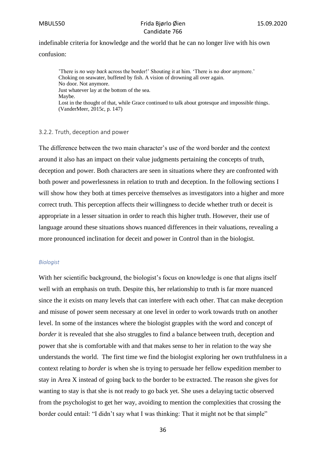indefinable criteria for knowledge and the world that he can no longer live with his own confusion:

'There is *no way back* across the border!' Shouting it at him. 'There is no *door* anymore.' Choking on seawater, buffeted by fish. A vision of drowning all over again. No door. Not anymore. Just whatever lay at the bottom of the sea. Maybe. Lost in the thought of that, while Grace continued to talk about grotesque and impossible things. (VanderMeer, 2015c, p. 147)

#### 3.2.2. Truth, deception and power

The difference between the two main character's use of the word border and the context around it also has an impact on their value judgments pertaining the concepts of truth, deception and power. Both characters are seen in situations where they are confronted with both power and powerlessness in relation to truth and deception. In the following sections I will show how they both at times perceive themselves as investigators into a higher and more correct truth. This perception affects their willingness to decide whether truth or deceit is appropriate in a lesser situation in order to reach this higher truth. However, their use of language around these situations shows nuanced differences in their valuations, revealing a more pronounced inclination for deceit and power in Control than in the biologist.

#### *Biologist*

With her scientific background, the biologist's focus on knowledge is one that aligns itself well with an emphasis on truth. Despite this, her relationship to truth is far more nuanced since the it exists on many levels that can interfere with each other. That can make deception and misuse of power seem necessary at one level in order to work towards truth on another level. In some of the instances where the biologist grapples with the word and concept of *border* it is revealed that she also struggles to find a balance between truth, deception and power that she is comfortable with and that makes sense to her in relation to the way she understands the world. The first time we find the biologist exploring her own truthfulness in a context relating to *border* is when she is trying to persuade her fellow expedition member to stay in Area X instead of going back to the border to be extracted. The reason she gives for wanting to stay is that she is not ready to go back yet. She uses a delaying tactic observed from the psychologist to get her way, avoiding to mention the complexities that crossing the border could entail: "I didn't say what I was thinking: That it might not be that simple"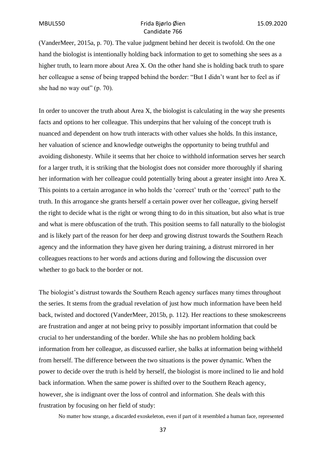(VanderMeer, 2015a, p. 70). The value judgment behind her deceit is twofold. On the one hand the biologist is intentionally holding back information to get to something she sees as a higher truth, to learn more about Area X. On the other hand she is holding back truth to spare her colleague a sense of being trapped behind the border: "But I didn't want her to feel as if she had no way out" (p. 70).

In order to uncover the truth about Area X, the biologist is calculating in the way she presents facts and options to her colleague. This underpins that her valuing of the concept truth is nuanced and dependent on how truth interacts with other values she holds. In this instance, her valuation of science and knowledge outweighs the opportunity to being truthful and avoiding dishonesty. While it seems that her choice to withhold information serves her search for a larger truth, it is striking that the biologist does not consider more thoroughly if sharing her information with her colleague could potentially bring about a greater insight into Area X. This points to a certain arrogance in who holds the 'correct' truth or the 'correct' path to the truth. In this arrogance she grants herself a certain power over her colleague, giving herself the right to decide what is the right or wrong thing to do in this situation, but also what is true and what is mere obfuscation of the truth. This position seems to fall naturally to the biologist and is likely part of the reason for her deep and growing distrust towards the Southern Reach agency and the information they have given her during training, a distrust mirrored in her colleagues reactions to her words and actions during and following the discussion over whether to go back to the border or not.

The biologist's distrust towards the Southern Reach agency surfaces many times throughout the series. It stems from the gradual revelation of just how much information have been held back, twisted and doctored (VanderMeer, 2015b, p. 112). Her reactions to these smokescreens are frustration and anger at not being privy to possibly important information that could be crucial to her understanding of the border. While she has no problem holding back information from her colleague, as discussed earlier, she balks at information being withheld from herself. The difference between the two situations is the power dynamic. When the power to decide over the truth is held by herself, the biologist is more inclined to lie and hold back information. When the same power is shifted over to the Southern Reach agency, however, she is indignant over the loss of control and information. She deals with this frustration by focusing on her field of study:

No matter how strange, a discarded exoskeleton, even if part of it resembled a human face, represented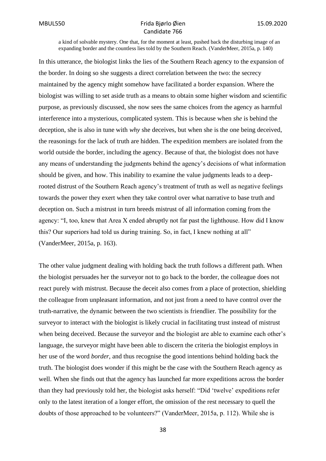a kind of solvable mystery. One that, for the moment at least, pushed back the disturbing image of an expanding border and the countless lies told by the Southern Reach. (VanderMeer, 2015a, p. 140)

In this utterance, the biologist links the lies of the Southern Reach agency to the expansion of the border. In doing so she suggests a direct correlation between the two: the secrecy maintained by the agency might somehow have facilitated a border expansion. Where the biologist was willing to set aside truth as a means to obtain some higher wisdom and scientific purpose, as previously discussed, she now sees the same choices from the agency as harmful interference into a mysterious, complicated system. This is because when *she* is behind the deception, she is also in tune with *why* she deceives, but when she is the one being deceived, the reasonings for the lack of truth are hidden. The expedition members are isolated from the world outside the border, including the agency. Because of that, the biologist does not have any means of understanding the judgments behind the agency's decisions of what information should be given, and how. This inability to examine the value judgments leads to a deeprooted distrust of the Southern Reach agency's treatment of truth as well as negative feelings towards the power they exert when they take control over what narrative to base truth and deception on. Such a mistrust in turn breeds mistrust of all information coming from the agency: "I, too, knew that Area X ended abruptly not far past the lighthouse. How did I know this? Our superiors had told us during training. So, in fact, I knew nothing at all" (VanderMeer, 2015a, p. 163).

The other value judgment dealing with holding back the truth follows a different path. When the biologist persuades her the surveyor not to go back to the border, the colleague does not react purely with mistrust. Because the deceit also comes from a place of protection, shielding the colleague from unpleasant information, and not just from a need to have control over the truth-narrative, the dynamic between the two scientists is friendlier. The possibility for the surveyor to interact with the biologist is likely crucial in facilitating trust instead of mistrust when being deceived. Because the surveyor and the biologist are able to examine each other's language, the surveyor might have been able to discern the criteria the biologist employs in her use of the word *border*, and thus recognise the good intentions behind holding back the truth. The biologist does wonder if this might be the case with the Southern Reach agency as well. When she finds out that the agency has launched far more expeditions across the border than they had previously told her, the biologist asks herself: "Did 'twelve' expeditions refer only to the latest iteration of a longer effort, the omission of the rest necessary to quell the doubts of those approached to be volunteers?" (VanderMeer, 2015a, p. 112). While she is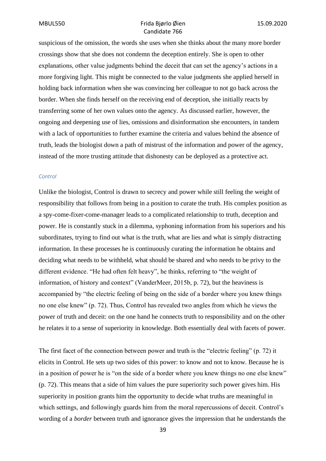suspicious of the omission, the words she uses when she thinks about the many more border crossings show that she does not condemn the deception entirely. She is open to other explanations, other value judgments behind the deceit that can set the agency's actions in a more forgiving light. This might be connected to the value judgments she applied herself in holding back information when she was convincing her colleague to not go back across the border. When she finds herself on the receiving end of deception, she initially reacts by transferring some of her own values onto the agency. As discussed earlier, however, the ongoing and deepening use of lies, omissions and disinformation she encounters, in tandem with a lack of opportunities to further examine the criteria and values behind the absence of truth, leads the biologist down a path of mistrust of the information and power of the agency, instead of the more trusting attitude that dishonesty can be deployed as a protective act.

#### *Control*

Unlike the biologist, Control is drawn to secrecy and power while still feeling the weight of responsibility that follows from being in a position to curate the truth. His complex position as a spy-come-fixer-come-manager leads to a complicated relationship to truth, deception and power. He is constantly stuck in a dilemma, syphoning information from his superiors and his subordinates, trying to find out what is the truth, what are lies and what is simply distracting information. In these processes he is continuously curating the information he obtains and deciding what needs to be withheld, what should be shared and who needs to be privy to the different evidence. "He had often felt heavy", he thinks, referring to "the weight of information, of history and context" (VanderMeer, 2015b, p. 72), but the heaviness is accompanied by "the electric feeling of being on the side of a border where you knew things no one else knew" (p. 72). Thus, Control has revealed two angles from which he views the power of truth and deceit: on the one hand he connects truth to responsibility and on the other he relates it to a sense of superiority in knowledge. Both essentially deal with facets of power.

The first facet of the connection between power and truth is the "electric feeling" (p. 72) it elicits in Control. He sets up two sides of this power: to know and not to know. Because he is in a position of power he is "on the side of a border where you knew things no one else knew" (p. 72). This means that a side of him values the pure superiority such power gives him. His superiority in position grants him the opportunity to decide what truths are meaningful in which settings, and followingly guards him from the moral repercussions of deceit. Control's wording of a *border* between truth and ignorance gives the impression that he understands the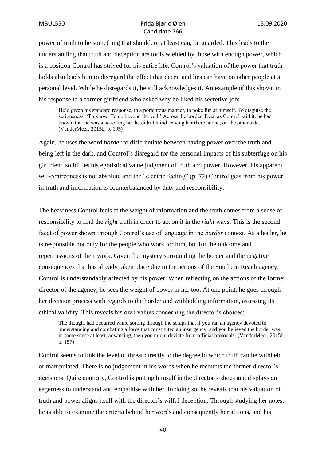power of truth to be something that should, or at least can, be guarded. This leads to the understanding that truth and deception are tools wielded by those with enough power, which is a position Control has strived for his entire life. Control's valuation of the power that truth holds also leads him to disregard the effect that deceit and lies can have on other people at a personal level. While he disregards it, he still acknowledges it. An example of this shown in his response to a former girlfriend who asked why he liked his secretive job:

He'd given his standard response, in a portentous manner, to poke fun at himself. To disguise the seriousness. 'To know. To go beyond the veil.' Across the border. Even as Control said it, he had known that he was also telling her he didn't mind leaving her there, alone, on the other side. (VanderMeer, 2015b, p. 195)

Again, he uses the word *border* to differentiate between having power over the truth and being left in the dark, and Control's disregard for the personal impacts of his subterfuge on his girlfriend solidifies his egotistical value judgment of truth and power. However, his apparent self-centredness is not absolute and the "electric feeling" (p. 72) Control gets from his power in truth and information is counterbalanced by duty and responsibility.

The heaviness Control feels at the weight of information and the truth comes from a sense of responsibility to find the *right* truth in order to act on it in the *right* ways. This is the second facet of power shown through Control's use of language in the *border* context. As a leader, he is responsible not only for the people who work for him, but for the outcome and repercussions of their work. Given the mystery surrounding the border and the negative consequences that has already taken place due to the actions of the Southern Reach agency, Control is understandably affected by his power. When reflecting on the actions of the former director of the agency, he sees the weight of power in her too. At one point, he goes through her decision process with regards to the border and withholding information, assessing its ethical validity. This reveals his own values concerning the director's choices:

The thought had occurred while sorting through the scraps that if you ran an agency devoted to understanding and combating a force that constituted an insurgency, and you believed the border was, in some sense at least, advancing, then you might deviate from official protocols. (VanderMeer, 2015b, p. 157)

Control seems to link the level of threat directly to the degree to which truth can be withheld or manipulated. There is no judgement in his words when he recounts the former director's decisions. Quite contrary, Control is putting himself in the director's shoes and displays an eagerness to understand and empathise with her. In doing so, he reveals that his valuation of truth and power aligns itself with the director's wilful deception. Through studying her notes, he is able to examine the criteria behind her words and consequently her actions, and his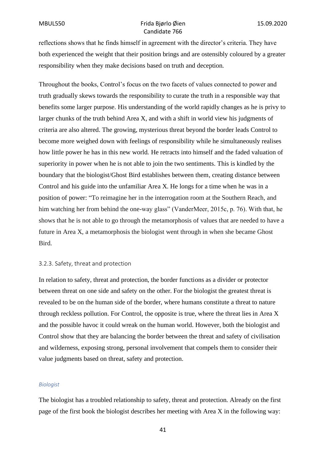reflections shows that he finds himself in agreement with the director's criteria. They have both experienced the weight that their position brings and are ostensibly coloured by a greater responsibility when they make decisions based on truth and deception.

Throughout the books, Control's focus on the two facets of values connected to power and truth gradually skews towards the responsibility to curate the truth in a responsible way that benefits some larger purpose. His understanding of the world rapidly changes as he is privy to larger chunks of the truth behind Area X, and with a shift in world view his judgments of criteria are also altered. The growing, mysterious threat beyond the border leads Control to become more weighed down with feelings of responsibility while he simultaneously realises how little power he has in this new world. He retracts into himself and the faded valuation of superiority in power when he is not able to join the two sentiments. This is kindled by the boundary that the biologist/Ghost Bird establishes between them, creating distance between Control and his guide into the unfamiliar Area X. He longs for a time when he was in a position of power: "To reimagine her in the interrogation room at the Southern Reach, and him watching her from behind the one-way glass" (VanderMeer, 2015c, p. 76). With that, he shows that he is not able to go through the metamorphosis of values that are needed to have a future in Area X, a metamorphosis the biologist went through in when she became Ghost Bird.

#### 3.2.3. Safety, threat and protection

In relation to safety, threat and protection, the border functions as a divider or protector between threat on one side and safety on the other. For the biologist the greatest threat is revealed to be on the human side of the border, where humans constitute a threat to nature through reckless pollution. For Control, the opposite is true, where the threat lies in Area X and the possible havoc it could wreak on the human world. However, both the biologist and Control show that they are balancing the border between the threat and safety of civilisation and wilderness, exposing strong, personal involvement that compels them to consider their value judgments based on threat, safety and protection.

#### *Biologist*

The biologist has a troubled relationship to safety, threat and protection. Already on the first page of the first book the biologist describes her meeting with Area X in the following way: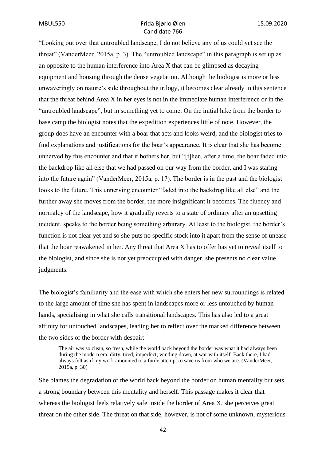"Looking out over that untroubled landscape, I do not believe any of us could yet see the threat" (VanderMeer, 2015a, p. 3). The "untroubled landscape" in this paragraph is set up as an opposite to the human interference into Area X that can be glimpsed as decaying equipment and housing through the dense vegetation. Although the biologist is more or less unwaveringly on nature's side throughout the trilogy, it becomes clear already in this sentence that the threat behind Area X in her eyes is not in the immediate human interference or in the "untroubled landscape", but in something yet to come. On the initial hike from the border to base camp the biologist notes that the expedition experiences little of note. However, the group does have an encounter with a boar that acts and looks weird, and the biologist tries to find explanations and justifications for the boar's appearance. It is clear that she has become unnerved by this encounter and that it bothers her, but "[t]hen, after a time, the boar faded into the backdrop like all else that we had passed on our way from the border, and I was staring into the future again" (VanderMeer, 2015a, p. 17). The border is in the past and the biologist looks to the future. This unnerving encounter "faded into the backdrop like all else" and the further away she moves from the border, the more insignificant it becomes. The fluency and normalcy of the landscape, how it gradually reverts to a state of ordinary after an upsetting incident, speaks to the border being something arbitrary. At least to the biologist, the border's function is not clear yet and so she puts no specific stock into it apart from the sense of unease that the boar reawakened in her. Any threat that Area X has to offer has yet to reveal itself to the biologist, and since she is not yet preoccupied with danger, she presents no clear value judgments.

The biologist's familiarity and the ease with which she enters her new surroundings is related to the large amount of time she has spent in landscapes more or less untouched by human hands, specialising in what she calls transitional landscapes. This has also led to a great affinity for untouched landscapes, leading her to reflect over the marked difference between the two sides of the border with despair:

The air was so clean, so fresh, while the world back beyond the border was what it had always been during the modern era: dirty, tired, imperfect, winding down, at war with itself. Back there, I had always felt as if my work amounted to a futile attempt to save us from who we are. (VanderMeer, 2015a, p. 30)

She blames the degradation of the world back beyond the border on human mentality but sets a strong boundary between this mentality and herself. This passage makes it clear that whereas the biologist feels relatively safe inside the border of Area X, she perceives great threat on the other side. The threat on that side, however, is not of some unknown, mysterious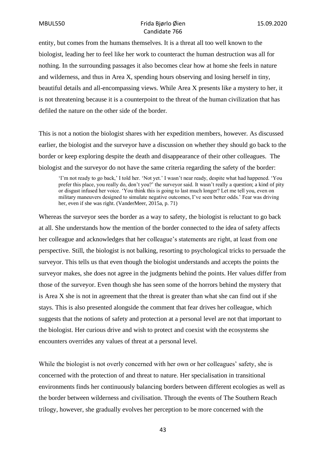entity, but comes from the humans themselves. It is a threat all too well known to the biologist, leading her to feel like her work to counteract the human destruction was all for nothing. In the surrounding passages it also becomes clear how at home she feels in nature and wilderness, and thus in Area X, spending hours observing and losing herself in tiny, beautiful details and all-encompassing views. While Area X presents like a mystery to her, it is not threatening because it is a counterpoint to the threat of the human civilization that has defiled the nature on the other side of the border.

This is not a notion the biologist shares with her expedition members, however. As discussed earlier, the biologist and the surveyor have a discussion on whether they should go back to the border or keep exploring despite the death and disappearance of their other colleagues. The biologist and the surveyor do not have the same criteria regarding the safety of the border:

'I'm not ready to go back,' I told her. 'Not yet.' I wasn't near ready, despite what had happened. 'You prefer this place, you really do, don't you?' the surveyor said. It wasn't really a question; a kind of pity or disgust infused her voice. 'You think this is going to last much longer? Let me tell you, even on military maneuvers designed to simulate negative outcomes, I've seen better odds.' Fear was driving her, even if she was right. (VanderMeer, 2015a, p. 71)

Whereas the surveyor sees the border as a way to safety, the biologist is reluctant to go back at all. She understands how the mention of the border connected to the idea of safety affects her colleague and acknowledges that her colleague's statements are right, at least from one perspective. Still, the biologist is not balking, resorting to psychological tricks to persuade the surveyor. This tells us that even though the biologist understands and accepts the points the surveyor makes, she does not agree in the judgments behind the points. Her values differ from those of the surveyor. Even though she has seen some of the horrors behind the mystery that is Area X she is not in agreement that the threat is greater than what she can find out if she stays. This is also presented alongside the comment that fear drives her colleague, which suggests that the notions of safety and protection at a personal level are not that important to the biologist. Her curious drive and wish to protect and coexist with the ecosystems she encounters overrides any values of threat at a personal level.

While the biologist is not overly concerned with her own or her colleagues' safety, she is concerned with the protection of and threat to nature. Her specialisation in transitional environments finds her continuously balancing borders between different ecologies as well as the border between wilderness and civilisation. Through the events of The Southern Reach trilogy, however, she gradually evolves her perception to be more concerned with the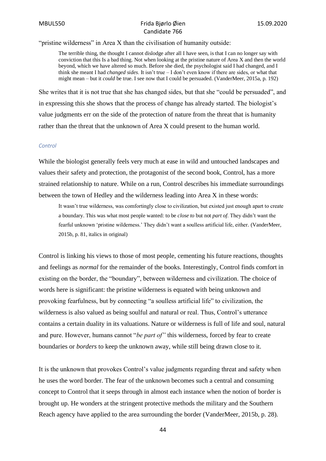"pristine wilderness" in Area X than the civilisation of humanity outside:

The terrible thing, the thought I cannot dislodge after all I have seen, is that I can no longer say with conviction that this Is a bad thing. Not when looking at the pristine nature of Area X and then the world beyond, which we have altered so much. Before she died, the psychologist said I had changed, and I think she meant I had *changed sides*. It isn't true – I don't even know if there are sides, or what that might mean – but it *could* be true. I see now that I could be persuaded. (VanderMeer, 2015a, p. 192)

She writes that it is not true that she has changed sides, but that she "could be persuaded", and in expressing this she shows that the process of change has already started. The biologist's value judgments err on the side of the protection of nature from the threat that is humanity rather than the threat that the unknown of Area X could present to the human world.

#### *Control*

While the biologist generally feels very much at ease in wild and untouched landscapes and values their safety and protection, the protagonist of the second book, Control, has a more strained relationship to nature. While on a run, Control describes his immediate surroundings between the town of Hedley and the wilderness leading into Area X in these words:

It wasn't true wilderness, was comfortingly close to civilization, but existed just enough apart to create a boundary. This was what most people wanted: to be *close to* but not *part of*. They didn't want the fearful unknown 'pristine wilderness.' They didn't want a soulless artificial life, either. (VanderMeer, 2015b, p. 81, italics in original)

Control is linking his views to those of most people, cementing his future reactions, thoughts and feelings as *normal* for the remainder of the books. Interestingly, Control finds comfort in existing on the border, the "boundary", between wilderness and civilization. The choice of words here is significant: the pristine wilderness is equated with being unknown and provoking fearfulness, but by connecting "a soulless artificial life" to civilization, the wilderness is also valued as being soulful and natural or real. Thus, Control's utterance contains a certain duality in its valuations. Nature or wilderness is full of life and soul, natural and pure. However, humans cannot "*be part of"* this wilderness, forced by fear to create boundaries or *borders* to keep the unknown away, while still being drawn close to it.

It is the unknown that provokes Control's value judgments regarding threat and safety when he uses the word border. The fear of the unknown becomes such a central and consuming concept to Control that it seeps through in almost each instance when the notion of border is brought up. He wonders at the stringent protective methods the military and the Southern Reach agency have applied to the area surrounding the border (VanderMeer, 2015b, p. 28).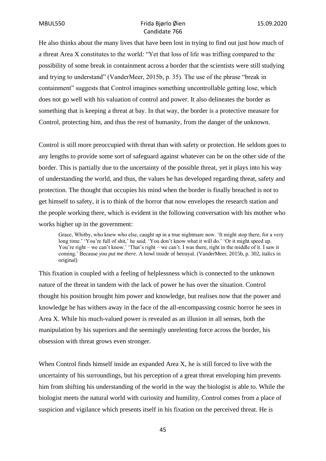He also thinks about the many lives that have been lost in trying to find out just how much of a threat Area X constitutes to the world: "Yet that loss of life was trifling compared to the possibility of some break in containment across a border that the scientists were still studying and trying to understand" (VanderMeer, 2015b, p. 35). The use of the phrase "break in containment" suggests that Control imagines something uncontrollable getting lose, which does not go well with his valuation of control and power. It also delineates the border as something that is keeping a threat at bay. In that way, the border is a protective measure for Control, protecting him, and thus the rest of humanity, from the danger of the unknown.

Control is still more preoccupied with threat than with safety or protection. He seldom goes to any lengths to provide some sort of safeguard against whatever can be on the other side of the border. This is partially due to the uncertainty of the possible threat, yet it plays into his way of understanding the world, and thus, the values he has developed regarding threat, safety and protection. The thought that occupies his mind when the border is finally breached is not to get himself to safety, it is to think of the horror that now envelopes the research station and the people working there, which is evident in the following conversation with his mother who works higher up in the government:

Grace, Whitby, who knew who else, caught up in a true nightmare now. 'It might stop there, for a very long time.' 'You're full of shit,' he said. 'You don't know what it will do.' 'Or it might speed up. You're right – we can't know.' 'That's right – we can't. I was there, right in the middle of it. I saw it coming.' Because *you put me there*. A howl inside of betrayal. (VanderMeer, 2015b, p. 302, italics in original)

This fixation is coupled with a feeling of helplessness which is connected to the unknown nature of the threat in tandem with the lack of power he has over the situation. Control thought his position brought him power and knowledge, but realises now that the power and knowledge he has withers away in the face of the all-encompassing cosmic horror he sees in Area X. While his much-valued power is revealed as an illusion in all senses, both the manipulation by his superiors and the seemingly unrelenting force across the border, his obsession with threat grows even stronger.

When Control finds himself inside an expanded Area X, he is still forced to live with the uncertainty of his surroundings, but his perception of a great threat enveloping him prevents him from shifting his understanding of the world in the way the biologist is able to. While the biologist meets the natural world with curiosity and humility, Control comes from a place of suspicion and vigilance which presents itself in his fixation on the perceived threat. He is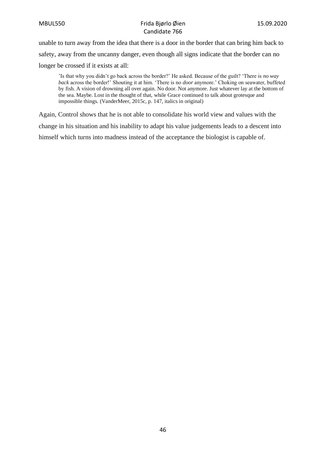unable to turn away from the idea that there is a door in the border that can bring him back to safety, away from the uncanny danger, even though all signs indicate that the border can no longer be crossed if it exists at all:

'Is that why you didn't go back across the border?' He asked. Because of the guilt? 'There is *no way back* across the border!' Shouting it at him. 'There is no *door* anymore.' Choking on seawater, buffeted by fish. A vision of drowning all over again. No door. Not anymore. Just whatever lay at the bottom of the sea. Maybe. Lost in the thought of that, while Grace continued to talk about grotesque and impossible things. (VanderMeer, 2015c, p. 147, italics in original)

Again, Control shows that he is not able to consolidate his world view and values with the change in his situation and his inability to adapt his value judgements leads to a descent into himself which turns into madness instead of the acceptance the biologist is capable of.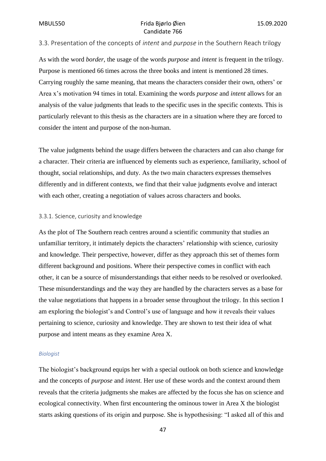# 3.3. Presentation of the concepts of *intent* and *purpose* in the Southern Reach trilogy

As with the word *border*, the usage of the words *purpose* and *intent* is frequent in the trilogy. Purpose is mentioned 66 times across the three books and intent is mentioned 28 times. Carrying roughly the same meaning, that means the characters consider their own, others' or Area x's motivation 94 times in total. Examining the words *purpose* and *intent* allows for an analysis of the value judgments that leads to the specific uses in the specific contexts. This is particularly relevant to this thesis as the characters are in a situation where they are forced to consider the intent and purpose of the non-human.

The value judgments behind the usage differs between the characters and can also change for a character. Their criteria are influenced by elements such as experience, familiarity, school of thought, social relationships, and duty. As the two main characters expresses themselves differently and in different contexts, we find that their value judgments evolve and interact with each other, creating a negotiation of values across characters and books.

#### 3.3.1. Science, curiosity and knowledge

As the plot of The Southern reach centres around a scientific community that studies an unfamiliar territory, it intimately depicts the characters' relationship with science, curiosity and knowledge. Their perspective, however, differ as they approach this set of themes form different background and positions. Where their perspective comes in conflict with each other, it can be a source of misunderstandings that either needs to be resolved or overlooked. These misunderstandings and the way they are handled by the characters serves as a base for the value negotiations that happens in a broader sense throughout the trilogy. In this section I am exploring the biologist's and Control's use of language and how it reveals their values pertaining to science, curiosity and knowledge. They are shown to test their idea of what purpose and intent means as they examine Area X.

#### *Biologist*

The biologist's background equips her with a special outlook on both science and knowledge and the concepts of *purpose* and *intent*. Her use of these words and the context around them reveals that the criteria judgments she makes are affected by the focus she has on science and ecological connectivity. When first encountering the ominous tower in Area X the biologist starts asking questions of its origin and purpose. She is hypothesising: "I asked all of this and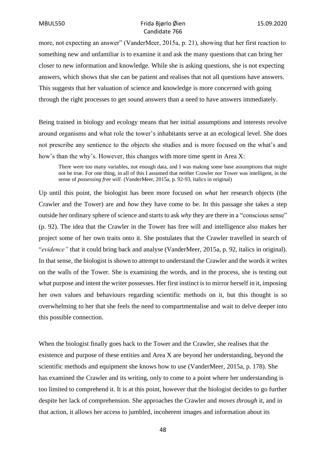more, not expecting an answer" (VanderMeer, 2015a, p. 21), showing that her first reaction to something new and unfamiliar is to examine it and ask the many questions that can bring her closer to new information and knowledge. While she is asking questions, she is not expecting answers, which shows that she can be patient and realises that not all questions have answers. This suggests that her valuation of science and knowledge is more concerned with going through the right processes to get sound answers than a need to have answers immediately.

Being trained in biology and ecology means that her initial assumptions and interests revolve around organisms and what role the tower's inhabitants serve at an ecological level. She does not prescribe any sentience to the objects she studies and is more focused on the what's and how's than the why's. However, this changes with more time spent in Area X:

There were too many variables, not enough data, and I was making some base assumptions that might not be true. For one thing, in all of this I assumed that neither Crawler nor Tower was intelligent, in the sense of *possessing free will*. (VanderMeer, 2015a, p. 92-93, italics in original)

Up until this point, the biologist has been more focused on *what* her research objects (the Crawler and the Tower) are and *how* they have come to be. In this passage she takes a step outside her ordinary sphere of science and starts to ask *why* they are there in a "conscious sense" (p. 92). The idea that the Crawler in the Tower has free will and intelligence also makes her project some of her own traits onto it. She postulates that the Crawler travelled in search of "*evidence"* that it could bring back and analyse (VanderMeer, 2015a, p. 92, italics in original). In that sense, the biologist is shown to attempt to understand the Crawler and the words it writes on the walls of the Tower. She is examining the words, and in the process, she is testing out what purpose and intent the writer possesses. Her first instinct is to mirror herself in it, imposing her own values and behaviours regarding scientific methods on it, but this thought is so overwhelming to her that she feels the need to compartmentalise and wait to delve deeper into this possible connection.

When the biologist finally goes back to the Tower and the Crawler, she realises that the existence and purpose of these entities and Area X are beyond her understanding, beyond the scientific methods and equipment she knows how to use (VanderMeer, 2015a, p. 178). She has examined the Crawler and its writing, only to come to a point where her understanding is too limited to comprehend it. It is at this point, however that the biologist decides to go further despite her lack of comprehension. She approaches the Crawler and *moves through* it, and in that action, it allows her access to jumbled, incoherent images and information about its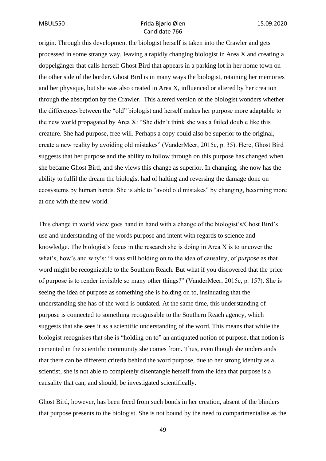origin. Through this development the biologist herself is taken into the Crawler and gets processed in some strange way, leaving a rapidly changing biologist in Area X and creating a doppelgänger that calls herself Ghost Bird that appears in a parking lot in her home town on the other side of the border. Ghost Bird is in many ways the biologist, retaining her memories and her physique, but she was also created in Area X, influenced or altered by her creation through the absorption by the Crawler. This altered version of the biologist wonders whether the differences between the "old" biologist and herself makes her purpose more adaptable to the new world propagated by Area X: "She didn't think she was a failed double like this creature. She had purpose, free will. Perhaps a copy could also be superior to the original, create a new reality by avoiding old mistakes" (VanderMeer, 2015c, p. 35). Here, Ghost Bird suggests that her purpose and the ability to follow through on this purpose has changed when she became Ghost Bird, and she views this change as superior. In changing, she now has the ability to fulfil the dream the biologist had of halting and reversing the damage done on ecosystems by human hands. She is able to "avoid old mistakes" by changing, becoming more at one with the new world.

This change in world view goes hand in hand with a change of the biologist's/Ghost Bird's use and understanding of the words purpose and intent with regards to science and knowledge. The biologist's focus in the research she is doing in Area X is to uncover the what's, how's and why's: "I was still holding on to the idea of causality, of *purpose* as that word might be recognizable to the Southern Reach. But what if you discovered that the price of purpose is to render invisible so many other things?" (VanderMeer, 2015c, p. 157). She is seeing the idea of purpose as something she is holding on to, insinuating that the understanding she has of the word is outdated. At the same time, this understanding of purpose is connected to something recognisable to the Southern Reach agency, which suggests that she sees it as a scientific understanding of the word. This means that while the biologist recognises that she is "holding on to" an antiquated notion of purpose, that notion is cemented in the scientific community she comes from. Thus, even though she understands that there can be different criteria behind the word purpose, due to her strong identity as a scientist, she is not able to completely disentangle herself from the idea that purpose is a causality that can, and should, be investigated scientifically.

Ghost Bird, however, has been freed from such bonds in her creation, absent of the blinders that purpose presents to the biologist. She is not bound by the need to compartmentalise as the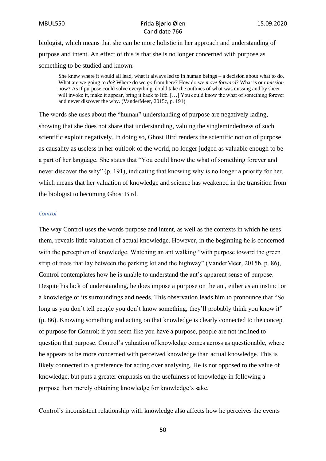biologist, which means that she can be more holistic in her approach and understanding of purpose and intent. An effect of this is that she is no longer concerned with purpose as something to be studied and known:

She knew where it would all lead, what it always led to in human beings – a decision about what to do. What are we going to *do*? Where do we *go* from here? How do we *move forward*? What is our *mission* now? As if purpose could solve everything, could take the outlines of what was missing and by sheer will invoke it, make it appear, bring it back to life. […] You could know the what of something forever and never discover the why. (VanderMeer, 2015c, p. 191)

The words she uses about the "human" understanding of purpose are negatively lading, showing that she does not share that understanding, valuing the singlemindedness of such scientific exploit negatively. In doing so, Ghost Bird renders the scientific notion of purpose as causality as useless in her outlook of the world, no longer judged as valuable enough to be a part of her language. She states that "You could know the what of something forever and never discover the why" (p. 191), indicating that knowing why is no longer a priority for her, which means that her valuation of knowledge and science has weakened in the transition from the biologist to becoming Ghost Bird.

#### *Control*

The way Control uses the words purpose and intent, as well as the contexts in which he uses them, reveals little valuation of actual knowledge. However, in the beginning he is concerned with the perception of knowledge. Watching an ant walking "with purpose toward the green strip of trees that lay between the parking lot and the highway" (VanderMeer, 2015b, p. 86), Control contemplates how he is unable to understand the ant's apparent sense of purpose. Despite his lack of understanding, he does impose a purpose on the ant, either as an instinct or a knowledge of its surroundings and needs. This observation leads him to pronounce that "So long as you don't tell people you don't know something, they'll probably think you know it" (p. 86). Knowing something and acting on that knowledge is clearly connected to the concept of purpose for Control; if you seem like you have a purpose, people are not inclined to question that purpose. Control's valuation of knowledge comes across as questionable, where he appears to be more concerned with perceived knowledge than actual knowledge. This is likely connected to a preference for acting over analysing. He is not opposed to the value of knowledge, but puts a greater emphasis on the usefulness of knowledge in following a purpose than merely obtaining knowledge for knowledge's sake.

Control's inconsistent relationship with knowledge also affects how he perceives the events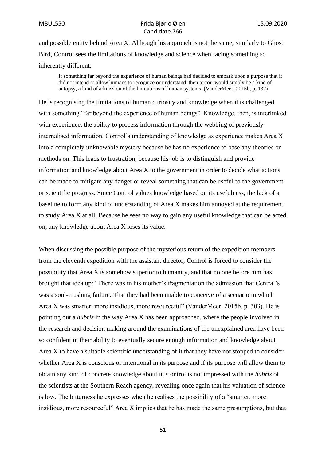and possible entity behind Area X. Although his approach is not the same, similarly to Ghost Bird, Control sees the limitations of knowledge and science when facing something so inherently different:

If something far beyond the experience of human beings had decided to embark upon a purpose that it did not intend to allow humans to recognize or understand, then terroir would simply be a kind of autopsy, a kind of admission of the limitations of human systems. (VanderMeer, 2015b, p. 132)

He is recognising the limitations of human curiosity and knowledge when it is challenged with something "far beyond the experience of human beings". Knowledge, then, is interlinked with experience, the ability to process information through the webbing of previously internalised information. Control's understanding of knowledge as experience makes Area X into a completely unknowable mystery because he has no experience to base any theories or methods on. This leads to frustration, because his job is to distinguish and provide information and knowledge about Area X to the government in order to decide what actions can be made to mitigate any danger or reveal something that can be useful to the government or scientific progress. Since Control values knowledge based on its usefulness, the lack of a baseline to form any kind of understanding of Area X makes him annoyed at the requirement to study Area X at all. Because he sees no way to gain any useful knowledge that can be acted on, any knowledge about Area X loses its value.

When discussing the possible purpose of the mysterious return of the expedition members from the eleventh expedition with the assistant director, Control is forced to consider the possibility that Area X is somehow superior to humanity, and that no one before him has brought that idea up: "There was in his mother's fragmentation the admission that Central's was a soul-crushing failure. That they had been unable to conceive of a scenario in which Area X was smarter, more insidious, more resourceful" (VanderMeer, 2015b, p. 303). He is pointing out a *hubris* in the way Area X has been approached, where the people involved in the research and decision making around the examinations of the unexplained area have been so confident in their ability to eventually secure enough information and knowledge about Area X to have a suitable scientific understanding of it that they have not stopped to consider whether Area X is conscious or intentional in its purpose and if its purpose will allow them to obtain any kind of concrete knowledge about it. Control is not impressed with the *hubris* of the scientists at the Southern Reach agency, revealing once again that his valuation of science is low. The bitterness he expresses when he realises the possibility of a "smarter, more insidious, more resourceful" Area X implies that he has made the same presumptions, but that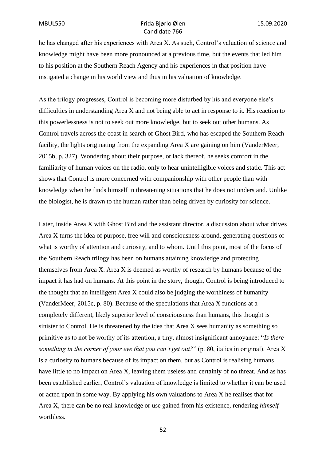he has changed after his experiences with Area X. As such, Control's valuation of science and knowledge might have been more pronounced at a previous time, but the events that led him to his position at the Southern Reach Agency and his experiences in that position have instigated a change in his world view and thus in his valuation of knowledge.

As the trilogy progresses, Control is becoming more disturbed by his and everyone else's difficulties in understanding Area X and not being able to act in response to it. His reaction to this powerlessness is not to seek out more knowledge, but to seek out other humans. As Control travels across the coast in search of Ghost Bird, who has escaped the Southern Reach facility, the lights originating from the expanding Area X are gaining on him (VanderMeer, 2015b, p. 327). Wondering about their purpose, or lack thereof, he seeks comfort in the familiarity of human voices on the radio, only to hear unintelligible voices and static. This act shows that Control is more concerned with companionship with other people than with knowledge when he finds himself in threatening situations that he does not understand. Unlike the biologist, he is drawn to the human rather than being driven by curiosity for science.

Later, inside Area X with Ghost Bird and the assistant director, a discussion about what drives Area X turns the idea of purpose, free will and consciousness around, generating questions of what is worthy of attention and curiosity, and to whom. Until this point, most of the focus of the Southern Reach trilogy has been on humans attaining knowledge and protecting themselves from Area X. Area X is deemed as worthy of research by humans because of the impact it has had on humans. At this point in the story, though, Control is being introduced to the thought that an intelligent Area X could also be judging the worthiness of humanity (VanderMeer, 2015c, p. 80). Because of the speculations that Area X functions at a completely different, likely superior level of consciousness than humans, this thought is sinister to Control. He is threatened by the idea that Area X sees humanity as something so primitive as to not be worthy of its attention, a tiny, almost insignificant annoyance: "*Is there something in the corner of your eye that you can't get out?*" (p. 80, italics in original). Area X is a curiosity to humans because of its impact on them, but as Control is realising humans have little to no impact on Area X, leaving them useless and certainly of no threat. And as has been established earlier, Control's valuation of knowledge is limited to whether it can be used or acted upon in some way. By applying his own valuations to Area X he realises that for Area X, there can be no real knowledge or use gained from his existence, rendering *himself* worthless.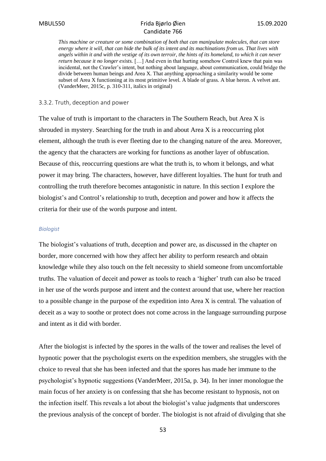*This machine or creature or some combination of both that can manipulate molecules, that can store energy where it will, that can hide the bulk of its intent and its machinations from us. That lives with angels within it and with the vestige of its own terroir, the hints of its homeland, to which it can never return because it no longer exists.* […] And even in that hurting somehow Control knew that pain was incidental, not the Crawler's intent, but nothing about language, about communication, could bridge the divide between human beings and Area X. That anything approaching a similarity would be some subset of Area X functioning at its most primitive level. A blade of grass. A blue heron. A velvet ant. (VanderMeer, 2015c, p. 310-311, italics in original)

#### 3.3.2. Truth, deception and power

The value of truth is important to the characters in The Southern Reach, but Area X is shrouded in mystery. Searching for the truth in and about Area X is a reoccurring plot element, although the truth is ever fleeting due to the changing nature of the area. Moreover, the agency that the characters are working for functions as another layer of obfuscation. Because of this, reoccurring questions are what the truth is, to whom it belongs, and what power it may bring. The characters, however, have different loyalties. The hunt for truth and controlling the truth therefore becomes antagonistic in nature. In this section I explore the biologist's and Control's relationship to truth, deception and power and how it affects the criteria for their use of the words purpose and intent.

#### *Biologist*

The biologist's valuations of truth, deception and power are, as discussed in the chapter on border, more concerned with how they affect her ability to perform research and obtain knowledge while they also touch on the felt necessity to shield someone from uncomfortable truths. The valuation of deceit and power as tools to reach a 'higher' truth can also be traced in her use of the words purpose and intent and the context around that use, where her reaction to a possible change in the purpose of the expedition into Area X is central. The valuation of deceit as a way to soothe or protect does not come across in the language surrounding purpose and intent as it did with border.

After the biologist is infected by the spores in the walls of the tower and realises the level of hypnotic power that the psychologist exerts on the expedition members, she struggles with the choice to reveal that she has been infected and that the spores has made her immune to the psychologist's hypnotic suggestions (VanderMeer, 2015a, p. 34). In her inner monologue the main focus of her anxiety is on confessing that she has become resistant to hypnosis, not on the infection itself. This reveals a lot about the biologist's value judgments that underscores the previous analysis of the concept of border. The biologist is not afraid of divulging that she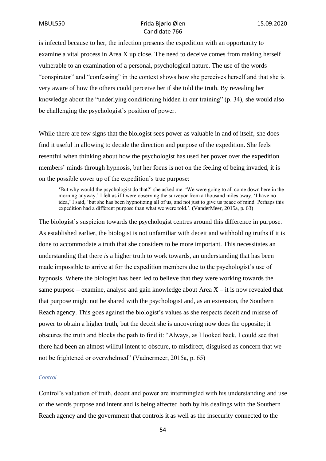is infected because to her, the infection presents the expedition with an opportunity to examine a vital process in Area X up close. The need to deceive comes from making herself vulnerable to an examination of a personal, psychological nature. The use of the words "conspirator" and "confessing" in the context shows how she perceives herself and that she is very aware of how the others could perceive her if she told the truth. By revealing her knowledge about the "underlying conditioning hidden in our training" (p. 34), she would also be challenging the psychologist's position of power.

While there are few signs that the biologist sees power as valuable in and of itself, she does find it useful in allowing to decide the direction and purpose of the expedition. She feels resentful when thinking about how the psychologist has used her power over the expedition members' minds through hypnosis, but her focus is not on the feeling of being invaded, it is on the possible cover up of the expedition's true purpose:

'But why would the psychologist do that?' she asked me. 'We were going to all come down here in the morning anyway.' I felt as if I were observing the surveyor from a thousand miles away. 'I have no idea,' I said, 'but she has been hypnotizing all of us, and not just to give us peace of mind. Perhaps this expedition had a different purpose than what we were told.'. (VanderMeer, 2015a, p. 63)

The biologist's suspicion towards the psychologist centres around this difference in purpose. As established earlier, the biologist is not unfamiliar with deceit and withholding truths if it is done to accommodate a truth that she considers to be more important. This necessitates an understanding that there *is* a higher truth to work towards, an understanding that has been made impossible to arrive at for the expedition members due to the psychologist's use of hypnosis. Where the biologist has been led to believe that they were working towards the same purpose – examine, analyse and gain knowledge about Area  $X - it$  is now revealed that that purpose might not be shared with the psychologist and, as an extension, the Southern Reach agency. This goes against the biologist's values as she respects deceit and misuse of power to obtain a higher truth, but the deceit she is uncovering now does the opposite; it obscures the truth and blocks the path to find it: "Always, as I looked back, I could see that there had been an almost willful intent to obscure, to misdirect, disguised as concern that we not be frightened or overwhelmed" (Vadnermeer, 2015a, p. 65)

#### *Control*

Control's valuation of truth, deceit and power are intermingled with his understanding and use of the words purpose and intent and is being affected both by his dealings with the Southern Reach agency and the government that controls it as well as the insecurity connected to the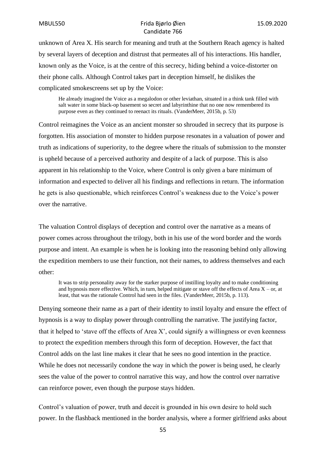unknown of Area X. His search for meaning and truth at the Southern Reach agency is halted by several layers of deception and distrust that permeates all of his interactions. His handler, known only as the Voice, is at the centre of this secrecy, hiding behind a voice-distorter on their phone calls. Although Control takes part in deception himself, he dislikes the complicated smokescreens set up by the Voice:

He already imagined the Voice as a megalodon or other leviathan, situated in a think tank filled with salt water in some black-op basement so secret and labyrinthine that no one now remembered its purpose even as they continued to reenact its rituals. (VanderMeer, 2015b, p. 53)

Control reimagines the Voice as an ancient monster so shrouded in secrecy that its purpose is forgotten. His association of monster to hidden purpose resonates in a valuation of power and truth as indications of superiority, to the degree where the rituals of submission to the monster is upheld because of a perceived authority and despite of a lack of purpose. This is also apparent in his relationship to the Voice, where Control is only given a bare minimum of information and expected to deliver all his findings and reflections in return. The information he gets is also questionable, which reinforces Control's weakness due to the Voice's power over the narrative.

The valuation Control displays of deception and control over the narrative as a means of power comes across throughout the trilogy, both in his use of the word border and the words purpose and intent. An example is when he is looking into the reasoning behind only allowing the expedition members to use their function, not their names, to address themselves and each other:

It was to strip personality away for the starker purpose of instilling loyalty and to make conditioning and hypnosis more effective. Which, in turn, helped mitigate or stave off the effects of Area  $X - or$ , at least, that was the rationale Control had seen in the files. (VanderMeer, 2015b, p. 113).

Denying someone their name as a part of their identity to instil loyalty and ensure the effect of hypnosis is a way to display power through controlling the narrative. The justifying factor, that it helped to 'stave off the effects of Area X', could signify a willingness or even keenness to protect the expedition members through this form of deception. However, the fact that Control adds on the last line makes it clear that he sees no good intention in the practice. While he does not necessarily condone the way in which the power is being used, he clearly sees the value of the power to control narrative this way, and how the control over narrative can reinforce power, even though the purpose stays hidden.

Control's valuation of power, truth and deceit is grounded in his own desire to hold such power. In the flashback mentioned in the border analysis, where a former girlfriend asks about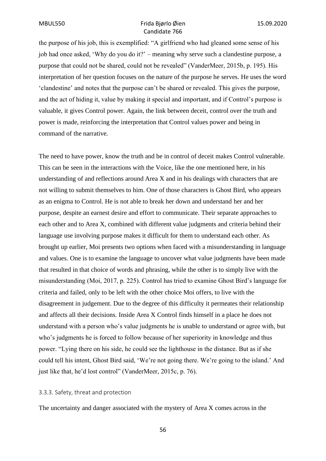the purpose of his job, this is exemplified: "A girlfriend who had gleaned some sense of his job had once asked, 'Why do you do it?' – meaning why serve such a clandestine purpose, a purpose that could not be shared, could not be revealed" (VanderMeer, 2015b, p. 195). His interpretation of her question focuses on the nature of the purpose he serves. He uses the word 'clandestine' and notes that the purpose can't be shared or revealed. This gives the purpose, and the act of hiding it, value by making it special and important, and if Control's purpose is valuable, it gives Control power. Again, the link between deceit, control over the truth and power is made, reinforcing the interpretation that Control values power and being in command of the narrative.

The need to have power, know the truth and be in control of deceit makes Control vulnerable. This can be seen in the interactions with the Voice, like the one mentioned here, in his understanding of and reflections around Area X and in his dealings with characters that are not willing to submit themselves to him. One of those characters is Ghost Bird, who appears as an enigma to Control. He is not able to break her down and understand her and her purpose, despite an earnest desire and effort to communicate. Their separate approaches to each other and to Area X, combined with different value judgments and criteria behind their language use involving purpose makes it difficult for them to understand each other. As brought up earlier, Moi presents two options when faced with a misunderstanding in language and values. One is to examine the language to uncover what value judgments have been made that resulted in that choice of words and phrasing, while the other is to simply live with the misunderstanding (Moi, 2017, p. 225). Control has tried to examine Ghost Bird's language for criteria and failed, only to be left with the other choice Moi offers, to live with the disagreement in judgement. Due to the degree of this difficulty it permeates their relationship and affects all their decisions. Inside Area X Control finds himself in a place he does not understand with a person who's value judgments he is unable to understand or agree with, but who's judgments he is forced to follow because of her superiority in knowledge and thus power. "Lying there on his side, he could see the lighthouse in the distance. But as if she could tell his intent, Ghost Bird said, 'We're not going there. We're going to the island.' And just like that, he'd lost control" (VanderMeer, 2015c, p. 76).

### 3.3.3. Safety, threat and protection

The uncertainty and danger associated with the mystery of Area X comes across in the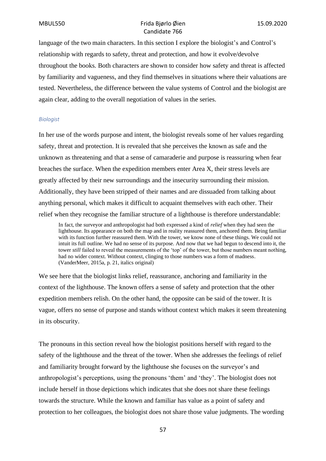language of the two main characters. In this section I explore the biologist's and Control's relationship with regards to safety, threat and protection, and how it evolve/devolve throughout the books. Both characters are shown to consider how safety and threat is affected by familiarity and vagueness, and they find themselves in situations where their valuations are tested. Nevertheless, the difference between the value systems of Control and the biologist are again clear, adding to the overall negotiation of values in the series.

#### *Biologist*

In her use of the words purpose and intent, the biologist reveals some of her values regarding safety, threat and protection. It is revealed that she perceives the known as safe and the unknown as threatening and that a sense of camaraderie and purpose is reassuring when fear breaches the surface. When the expedition members enter Area X, their stress levels are greatly affected by their new surroundings and the insecurity surrounding their mission. Additionally, they have been stripped of their names and are dissuaded from talking about anything personal, which makes it difficult to acquaint themselves with each other. Their relief when they recognise the familiar structure of a lighthouse is therefore understandable:

In fact, the surveyor and anthropologist had both expressed a kind of *relief* when they had seen the lighthouse. Its appearance on both the map and in reality reassured them, anchored them. Being familiar with its function further reassured them. With the tower, we know none of these things. We could not intuit its full outline. We had no sense of its purpose. And now that we had begun to descend into it, the tower *still* failed to reveal the measurements of the 'top' of the tower, but those numbers meant nothing, had no wider context. Without context, clinging to those numbers was a form of madness. (VanderMeer, 2015a, p. 21, italics original)

We see here that the biologist links relief, reassurance, anchoring and familiarity in the context of the lighthouse. The known offers a sense of safety and protection that the other expedition members relish. On the other hand, the opposite can be said of the tower. It is vague, offers no sense of purpose and stands without context which makes it seem threatening in its obscurity.

The pronouns in this section reveal how the biologist positions herself with regard to the safety of the lighthouse and the threat of the tower. When she addresses the feelings of relief and familiarity brought forward by the lighthouse she focuses on the surveyor's and anthropologist's perceptions, using the pronouns 'them' and 'they'. The biologist does not include herself in those depictions which indicates that she does not share these feelings towards the structure. While the known and familiar has value as a point of safety and protection to her colleagues, the biologist does not share those value judgments. The wording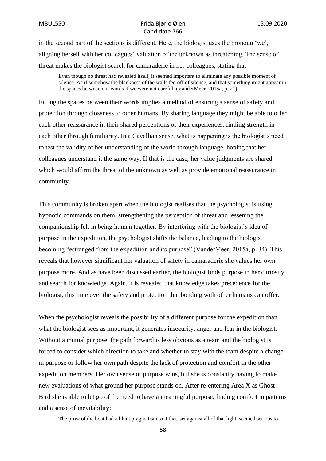in the second part of the sections is different. Here, the biologist uses the pronoun 'we', aligning herself with her colleagues' valuation of the unknown as threatening. The sense of threat makes the biologist search for camaraderie in her colleagues, stating that

Even though no threat had revealed itself, it seemed important to eliminate any possible moment of silence. As if somehow the blankness of the walls fed off of silence, and that something might appear in the spaces between our words if we were not careful. (VanderMeer, 2015a, p. 21)

Filling the spaces between their words implies a method of ensuring a sense of safety and protection through closeness to other humans. By sharing language they might be able to offer each other reassurance in their shared perceptions of their experiences, finding strength in each other through familiarity. In a Cavellian sense, what is happening is the biologist's need to test the validity of her understanding of the world through language, hoping that her colleagues understand it the same way. If that is the case, her value judgments are shared which would affirm the threat of the unknown as well as provide emotional reassurance in community.

This community is broken apart when the biologist realises that the psychologist is using hypnotic commands on them, strengthening the perception of threat and lessening the companionship felt in being human together. By interfering with the biologist's idea of purpose in the expedition, the psychologist shifts the balance, leading to the biologist becoming "estranged from the expedition and its purpose" (VanderMeer, 2015a, p. 34). This reveals that however significant her valuation of safety in camaraderie she values her own purpose more. And as have been discussed earlier, the biologist finds purpose in her curiosity and search for knowledge. Again, it is revealed that knowledge takes precedence for the biologist, this time over the safety and protection that bonding with other humans can offer.

When the psychologist reveals the possibility of a different purpose for the expedition than what the biologist sees as important, it generates insecurity, anger and fear in the biologist. Without a mutual purpose, the path forward is less obvious as a team and the biologist is forced to consider which direction to take and whether to stay with the team despite a change in purpose or follow her own path despite the lack of protection and comfort in the other expedition members. Her own sense of purpose wins, but she is constantly having to make new evaluations of what ground her purpose stands on. After re-entering Area X as Ghost Bird she is able to let go of the need to have a meaningful purpose, finding comfort in patterns and a sense of inevitability:

The prow of the boat had a blunt pragmatism to it that, set against all of that light, seemed serious to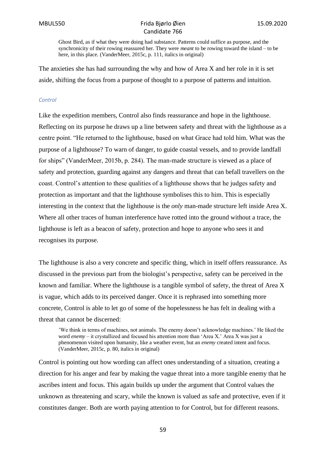Ghost Bird, as if what they were doing had substance. Patterns could suffice as purpose, and the synchronicity of their rowing reassured her. They were *meant* to be rowing toward the island – to be here, in this place. (VanderMeer, 2015c, p. 111, italics in original)

The anxieties she has had surrounding the why and how of Area X and her role in it is set aside, shifting the focus from a purpose of thought to a purpose of patterns and intuition.

#### *Control*

Like the expedition members, Control also finds reassurance and hope in the lighthouse. Reflecting on its purpose he draws up a line between safety and threat with the lighthouse as a centre point. "He returned to the lighthouse, based on what Grace had told him. What was the purpose of a lighthouse? To warn of danger, to guide coastal vessels, and to provide landfall for ships" (VanderMeer, 2015b, p. 284). The man-made structure is viewed as a place of safety and protection, guarding against any dangers and threat that can befall travellers on the coast. Control's attention to these qualities of a lighthouse shows that he judges safety and protection as important and that the lighthouse symbolises this to him. This is especially interesting in the context that the lighthouse is the *only* man-made structure left inside Area X. Where all other traces of human interference have rotted into the ground without a trace, the lighthouse is left as a beacon of safety, protection and hope to anyone who sees it and recognises its purpose.

The lighthouse is also a very concrete and specific thing, which in itself offers reassurance. As discussed in the previous part from the biologist's perspective, safety can be perceived in the known and familiar. Where the lighthouse is a tangible symbol of safety, the threat of Area X is vague, which adds to its perceived danger. Once it is rephrased into something more concrete, Control is able to let go of some of the hopelessness he has felt in dealing with a threat that cannot be discerned:

'We think in terms of machines, not animals. The enemy doesn't acknowledge machines.' He liked the word *enemy* – it crystallized and focused his attention more than 'Area X.' Area X was just a phenomenon visited upon humanity, like a weather event, but an *enemy* created intent and focus. (VanderMeer, 2015c, p. 80, italics in original)

Control is pointing out how wording can affect ones understanding of a situation, creating a direction for his anger and fear by making the vague threat into a more tangible enemy that he ascribes intent and focus. This again builds up under the argument that Control values the unknown as threatening and scary, while the known is valued as safe and protective, even if it constitutes danger. Both are worth paying attention to for Control, but for different reasons.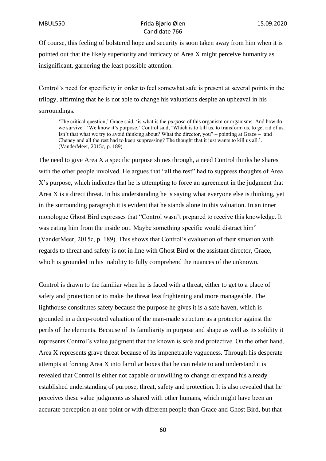Of course, this feeling of bolstered hope and security is soon taken away from him when it is pointed out that the likely superiority and intricacy of Area X might perceive humanity as insignificant, garnering the least possible attention.

Control's need for specificity in order to feel somewhat safe is present at several points in the trilogy, affirming that he is not able to change his valuations despite an upheaval in his surroundings.

'The critical question,' Grace said, 'is what is the *purpose* of this organism or organisms. And how do we survive.' 'We know it's purpose,' Control said, 'Which is to kill us, to transform us, to get rid of us. Isn't that what we try to avoid thinking about? What the director, you" – pointing at Grace – 'and Cheney and all the rest had to keep suppressing? The thought that it just wants to kill us all.'. (VanderMeer, 2015c, p. 189)

The need to give Area X a specific purpose shines through, a need Control thinks he shares with the other people involved. He argues that "all the rest" had to suppress thoughts of Area X's purpose, which indicates that he is attempting to force an agreement in the judgment that Area X is a direct threat. In his understanding he is saying what everyone else is thinking, yet in the surrounding paragraph it is evident that he stands alone in this valuation. In an inner monologue Ghost Bird expresses that "Control wasn't prepared to receive this knowledge. It was eating him from the inside out. Maybe something specific would distract him" (VanderMeer, 2015c, p. 189). This shows that Control's evaluation of their situation with regards to threat and safety is not in line with Ghost Bird or the assistant director, Grace, which is grounded in his inability to fully comprehend the nuances of the unknown.

Control is drawn to the familiar when he is faced with a threat, either to get to a place of safety and protection or to make the threat less frightening and more manageable. The lighthouse constitutes safety because the purpose he gives it is a safe haven, which is grounded in a deep-rooted valuation of the man-made structure as a protector against the perils of the elements. Because of its familiarity in purpose and shape as well as its solidity it represents Control's value judgment that the known is safe and protective. On the other hand, Area X represents grave threat because of its impenetrable vagueness. Through his desperate attempts at forcing Area X into familiar boxes that he can relate to and understand it is revealed that Control is either not capable or unwilling to change or expand his already established understanding of purpose, threat, safety and protection. It is also revealed that he perceives these value judgments as shared with other humans, which might have been an accurate perception at one point or with different people than Grace and Ghost Bird, but that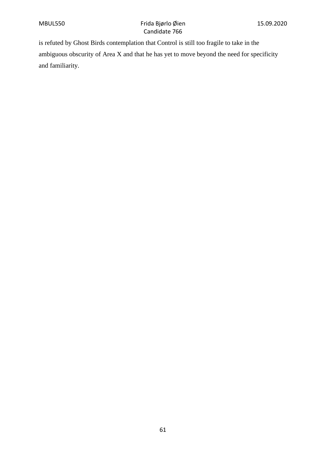is refuted by Ghost Birds contemplation that Control is still too fragile to take in the ambiguous obscurity of Area X and that he has yet to move beyond the need for specificity and familiarity.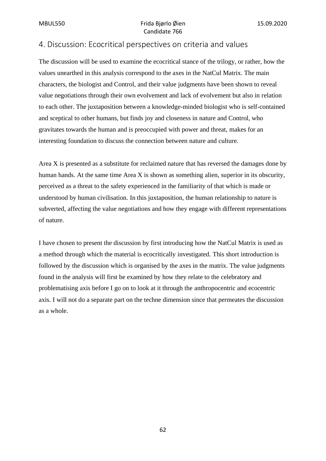# 4. Discussion: Ecocritical perspectives on criteria and values

The discussion will be used to examine the ecocritical stance of the trilogy, or rather, how the values unearthed in this analysis correspond to the axes in the NatCul Matrix. The main characters, the biologist and Control, and their value judgments have been shown to reveal value negotiations through their own evolvement and lack of evolvement but also in relation to each other. The juxtaposition between a knowledge-minded biologist who is self-contained and sceptical to other humans, but finds joy and closeness in nature and Control, who gravitates towards the human and is preoccupied with power and threat, makes for an interesting foundation to discuss the connection between nature and culture.

Area X is presented as a substitute for reclaimed nature that has reversed the damages done by human hands. At the same time Area X is shown as something alien, superior in its obscurity, perceived as a threat to the safety experienced in the familiarity of that which is made or understood by human civilisation. In this juxtaposition, the human relationship to nature is subverted, affecting the value negotiations and how they engage with different representations of nature.

I have chosen to present the discussion by first introducing how the NatCul Matrix is used as a method through which the material is ecocritically investigated. This short introduction is followed by the discussion which is organised by the axes in the matrix. The value judgments found in the analysis will first be examined by how they relate to the celebratory and problematising axis before I go on to look at it through the anthropocentric and ecocentric axis. I will not do a separate part on the techne dimension since that permeates the discussion as a whole.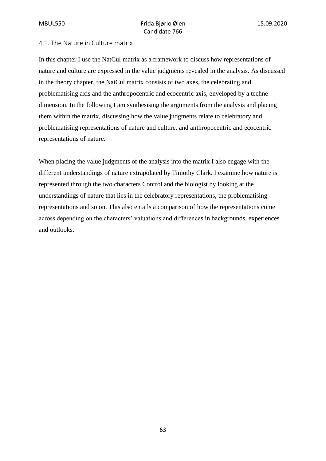### 4.1. The Nature in Culture matrix

In this chapter I use the NatCul matrix as a framework to discuss how representations of nature and culture are expressed in the value judgments revealed in the analysis. As discussed in the theory chapter, the NatCul matrix consists of two axes, the celebrating and problematising axis and the anthropocentric and ecocentric axis, enveloped by a techne dimension. In the following I am synthesising the arguments from the analysis and placing them within the matrix, discussing how the value judgments relate to celebratory and problematising representations of nature and culture, and anthropocentric and ecocentric representations of nature.

When placing the value judgments of the analysis into the matrix I also engage with the different understandings of nature extrapolated by Timothy Clark. I examine how nature is represented through the two characters Control and the biologist by looking at the understandings of nature that lies in the celebratory representations, the problematising representations and so on. This also entails a comparison of how the representations come across depending on the characters' valuations and differences in backgrounds, experiences and outlooks.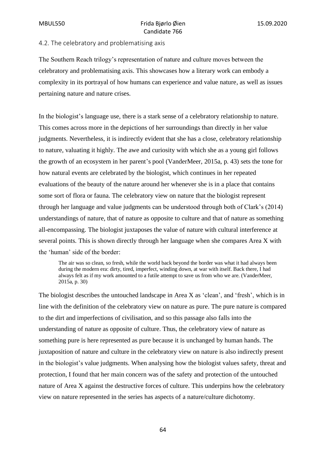#### 4.2. The celebratory and problematising axis

The Southern Reach trilogy's representation of nature and culture moves between the celebratory and problematising axis. This showcases how a literary work can embody a complexity in its portrayal of how humans can experience and value nature, as well as issues pertaining nature and nature crises.

In the biologist's language use, there is a stark sense of a celebratory relationship to nature. This comes across more in the depictions of her surroundings than directly in her value judgments. Nevertheless, it is indirectly evident that she has a close, celebratory relationship to nature, valuating it highly. The awe and curiosity with which she as a young girl follows the growth of an ecosystem in her parent's pool (VanderMeer, 2015a, p. 43) sets the tone for how natural events are celebrated by the biologist, which continues in her repeated evaluations of the beauty of the nature around her whenever she is in a place that contains some sort of flora or fauna. The celebratory view on nature that the biologist represent through her language and value judgments can be understood through both of Clark's (2014) understandings of nature, that of nature as opposite to culture and that of nature as something all-encompassing. The biologist juxtaposes the value of nature with cultural interference at several points. This is shown directly through her language when she compares Area X with the 'human' side of the border:

The air was so clean, so fresh, while the world back beyond the border was what it had always been during the modern era: dirty, tired, imperfect, winding down, at war with itself. Back there, I had always felt as if my work amounted to a futile attempt to save us from who we are. (VanderMeer, 2015a, p. 30)

The biologist describes the untouched landscape in Area X as 'clean', and 'fresh', which is in line with the definition of the celebratory view on nature as pure. The pure nature is compared to the dirt and imperfections of civilisation, and so this passage also falls into the understanding of nature as opposite of culture. Thus, the celebratory view of nature as something pure is here represented as pure because it is unchanged by human hands. The juxtaposition of nature and culture in the celebratory view on nature is also indirectly present in the biologist's value judgments. When analysing how the biologist values safety, threat and protection, I found that her main concern was of the safety and protection of the untouched nature of Area X against the destructive forces of culture. This underpins how the celebratory view on nature represented in the series has aspects of a nature/culture dichotomy.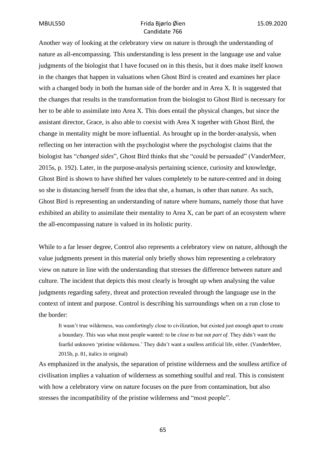Another way of looking at the celebratory view on nature is through the understanding of nature as all-encompassing. This understanding is less present in the language use and value judgments of the biologist that I have focused on in this thesis, but it does make itself known in the changes that happen in valuations when Ghost Bird is created and examines her place with a changed body in both the human side of the border and in Area X. It is suggested that the changes that results in the transformation from the biologist to Ghost Bird is necessary for her to be able to assimilate into Area X. This does entail the physical changes, but since the assistant director, Grace, is also able to coexist with Area X together with Ghost Bird, the change in mentality might be more influential. As brought up in the border-analysis, when reflecting on her interaction with the psychologist where the psychologist claims that the biologist has "*changed sides*", Ghost Bird thinks that she "could be persuaded" (VanderMeer, 2015s, p. 192). Later, in the purpose-analysis pertaining science, curiosity and knowledge, Ghost Bird is shown to have shifted her values completely to be nature-centred and in doing so she is distancing herself from the idea that she, a human, is other than nature. As such, Ghost Bird is representing an understanding of nature where humans, namely those that have exhibited an ability to assimilate their mentality to Area X, can be part of an ecosystem where the all-encompassing nature is valued in its holistic purity.

While to a far lesser degree, Control also represents a celebratory view on nature, although the value judgments present in this material only briefly shows him representing a celebratory view on nature in line with the understanding that stresses the difference between nature and culture. The incident that depicts this most clearly is brought up when analysing the value judgments regarding safety, threat and protection revealed through the language use in the context of intent and purpose. Control is describing his surroundings when on a run close to the border:

It wasn't true wilderness, was comfortingly close to civilization, but existed just enough apart to create a boundary. This was what most people wanted: to be *close to* but not *part of*. They didn't want the fearful unknown 'pristine wilderness.' They didn't want a soulless artificial life, either. (VanderMeer, 2015b, p. 81, italics in original)

As emphasized in the analysis, the separation of pristine wilderness and the soulless artifice of civilisation implies a valuation of wilderness as something soulful and real. This is consistent with how a celebratory view on nature focuses on the pure from contamination, but also stresses the incompatibility of the pristine wilderness and "most people".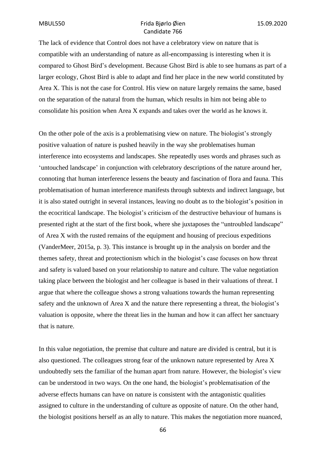The lack of evidence that Control does not have a celebratory view on nature that is compatible with an understanding of nature as all-encompassing is interesting when it is compared to Ghost Bird's development. Because Ghost Bird is able to see humans as part of a larger ecology, Ghost Bird is able to adapt and find her place in the new world constituted by Area X. This is not the case for Control. His view on nature largely remains the same, based on the separation of the natural from the human, which results in him not being able to consolidate his position when Area X expands and takes over the world as he knows it.

On the other pole of the axis is a problematising view on nature. The biologist's strongly positive valuation of nature is pushed heavily in the way she problematises human interference into ecosystems and landscapes. She repeatedly uses words and phrases such as 'untouched landscape' in conjunction with celebratory descriptions of the nature around her, connoting that human interference lessens the beauty and fascination of flora and fauna. This problematisation of human interference manifests through subtexts and indirect language, but it is also stated outright in several instances, leaving no doubt as to the biologist's position in the ecocritical landscape. The biologist's criticism of the destructive behaviour of humans is presented right at the start of the first book, where she juxtaposes the "untroubled landscape" of Area X with the rusted remains of the equipment and housing of precious expeditions (VanderMeer, 2015a, p. 3). This instance is brought up in the analysis on border and the themes safety, threat and protectionism which in the biologist's case focuses on how threat and safety is valued based on your relationship to nature and culture. The value negotiation taking place between the biologist and her colleague is based in their valuations of threat. I argue that where the colleague shows a strong valuations towards the human representing safety and the unknown of Area X and the nature there representing a threat, the biologist's valuation is opposite, where the threat lies in the human and how it can affect her sanctuary that is nature.

In this value negotiation, the premise that culture and nature are divided is central, but it is also questioned. The colleagues strong fear of the unknown nature represented by Area X undoubtedly sets the familiar of the human apart from nature. However, the biologist's view can be understood in two ways. On the one hand, the biologist's problematisation of the adverse effects humans can have on nature is consistent with the antagonistic qualities assigned to culture in the understanding of culture as opposite of nature. On the other hand, the biologist positions herself as an ally to nature. This makes the negotiation more nuanced,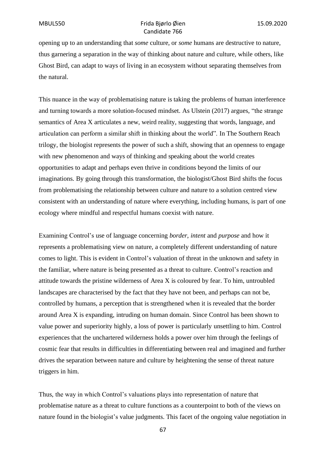opening up to an understanding that *some* culture, or *some* humans are destructive to nature, thus garnering a separation in the way of thinking about nature and culture, while others, like Ghost Bird, can adapt to ways of living in an ecosystem without separating themselves from the natural.

This nuance in the way of problematising nature is taking the problems of human interference and turning towards a more solution-focused mindset. As Ulstein (2017) argues, "the strange semantics of Area X articulates a new, weird reality, suggesting that words, language, and articulation can perform a similar shift in thinking about the world". In The Southern Reach trilogy, the biologist represents the power of such a shift, showing that an openness to engage with new phenomenon and ways of thinking and speaking about the world creates opportunities to adapt and perhaps even thrive in conditions beyond the limits of our imaginations. By going through this transformation, the biologist/Ghost Bird shifts the focus from problematising the relationship between culture and nature to a solution centred view consistent with an understanding of nature where everything, including humans, is part of one ecology where mindful and respectful humans coexist with nature.

Examining Control's use of language concerning *border*, *intent* and *purpose* and how it represents a problematising view on nature, a completely different understanding of nature comes to light. This is evident in Control's valuation of threat in the unknown and safety in the familiar, where nature is being presented as a threat to culture. Control's reaction and attitude towards the pristine wilderness of Area X is coloured by fear. To him, untroubled landscapes are characterised by the fact that they have not been, and perhaps can not be. controlled by humans, a perception that is strengthened when it is revealed that the border around Area X is expanding, intruding on human domain. Since Control has been shown to value power and superiority highly, a loss of power is particularly unsettling to him. Control experiences that the unchartered wilderness holds a power over him through the feelings of cosmic fear that results in difficulties in differentiating between real and imagined and further drives the separation between nature and culture by heightening the sense of threat nature triggers in him.

Thus, the way in which Control's valuations plays into representation of nature that problematise nature as a threat to culture functions as a counterpoint to both of the views on nature found in the biologist's value judgments. This facet of the ongoing value negotiation in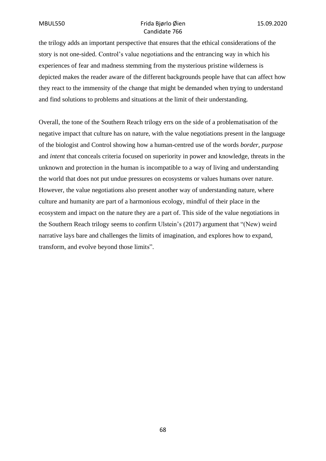the trilogy adds an important perspective that ensures that the ethical considerations of the story is not one-sided. Control's value negotiations and the entrancing way in which his experiences of fear and madness stemming from the mysterious pristine wilderness is depicted makes the reader aware of the different backgrounds people have that can affect how they react to the immensity of the change that might be demanded when trying to understand and find solutions to problems and situations at the limit of their understanding.

Overall, the tone of the Southern Reach trilogy errs on the side of a problematisation of the negative impact that culture has on nature, with the value negotiations present in the language of the biologist and Control showing how a human-centred use of the words *border, purpose* and *intent* that conceals criteria focused on superiority in power and knowledge, threats in the unknown and protection in the human is incompatible to a way of living and understanding the world that does not put undue pressures on ecosystems or values humans over nature. However, the value negotiations also present another way of understanding nature, where culture and humanity are part of a harmonious ecology, mindful of their place in the ecosystem and impact on the nature they are a part of. This side of the value negotiations in the Southern Reach trilogy seems to confirm Ulstein's (2017) argument that "(New) weird narrative lays bare and challenges the limits of imagination, and explores how to expand, transform, and evolve beyond those limits".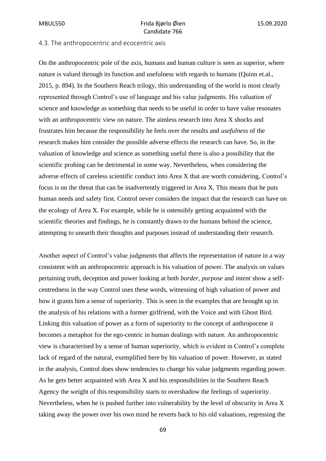#### 4.3. The anthropocentric and ecocentric axis

On the anthropocentric pole of the axis, humans and human culture is seen as superior, where nature is valued through its function and usefulness with regards to humans (Quinn et.al., 2015, p. 894). In the Southern Reach trilogy, this understanding of the world is most clearly represented through Control's use of language and his value judgments. His valuation of science and knowledge as something that needs to be useful in order to have value resonates with an anthropocentric view on nature. The aimless research into Area X shocks and frustrates him because the responsibility he feels over the results and *usefulness* of the research makes him consider the possible adverse effects the research can have. So, in the valuation of knowledge and science as something useful there is also a possibility that the scientific probing can be detrimental in some way. Nevertheless, when considering the adverse effects of careless scientific conduct into Area X that are worth considering, Control's focus is on the threat that can be inadvertently triggered in Area X. This means that he puts human needs and safety first. Control never considers the impact that the research can have on the ecology of Area X. For example, while he is ostensibly getting acquainted with the scientific theories and findings, he is constantly drawn to the humans behind the science, attempting to unearth their thoughts and purposes instead of understanding their research.

Another aspect of Control's value judgments that affects the representation of nature in a way consistent with an anthropocentric approach is his valuation of power. The analysis on values pertaining truth, deception and power looking at both *border*, *purpose* and *intent* show a selfcentredness in the way Control uses these words, witnessing of high valuation of power and how it grants him a sense of superiority. This is seen in the examples that are brought up in the analysis of his relations with a former girlfriend, with the Voice and with Ghost Bird. Linking this valuation of power as a form of superiority to the concept of anthropocene it becomes a metaphor for the ego-centric in human dealings with nature. An anthropocentric view is characterised by a sense of human superiority, which is evident in Control's complete lack of regard of the natural, exemplified here by his valuation of power. However, as stated in the analysis, Control does show tendencies to change his value judgments regarding power. As he gets better acquainted with Area X and his responsibilities in the Southern Reach Agency the weight of this responsibility starts to overshadow the feelings of superiority. Nevertheless, when he is pushed further into vulnerability by the level of obscurity in Area X taking away the power over his own mind he reverts back to his old valuations, regressing the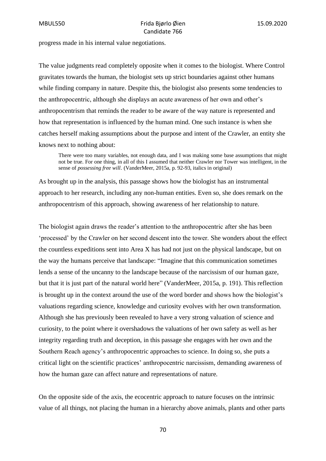progress made in his internal value negotiations.

The value judgments read completely opposite when it comes to the biologist. Where Control gravitates towards the human, the biologist sets up strict boundaries against other humans while finding company in nature. Despite this, the biologist also presents some tendencies to the anthropocentric, although she displays an acute awareness of her own and other's anthropocentrism that reminds the reader to be aware of the way nature is represented and how that representation is influenced by the human mind. One such instance is when she catches herself making assumptions about the purpose and intent of the Crawler, an entity she knows next to nothing about:

There were too many variables, not enough data, and I was making some base assumptions that might not be true. For one thing, in all of this I assumed that neither Crawler nor Tower was intelligent, in the sense of *possessing free will*. (VanderMeer, 2015a, p. 92-93, italics in original)

As brought up in the analysis, this passage shows how the biologist has an instrumental approach to her research, including any non-human entities. Even so, she does remark on the anthropocentrism of this approach, showing awareness of her relationship to nature.

The biologist again draws the reader's attention to the anthropocentric after she has been 'processed' by the Crawler on her second descent into the tower. She wonders about the effect the countless expeditions sent into Area X has had not just on the physical landscape, but on the way the humans perceive that landscape: "Imagine that this communication sometimes lends a sense of the uncanny to the landscape because of the narcissism of our human gaze, but that it is just part of the natural world here" (VanderMeer, 2015a, p. 191). This reflection is brought up in the context around the use of the word border and shows how the biologist's valuations regarding science, knowledge and curiosity evolves with her own transformation. Although she has previously been revealed to have a very strong valuation of science and curiosity, to the point where it overshadows the valuations of her own safety as well as her integrity regarding truth and deception, in this passage she engages with her own and the Southern Reach agency's anthropocentric approaches to science. In doing so, she puts a critical light on the scientific practices' anthropocentric narcissism, demanding awareness of how the human gaze can affect nature and representations of nature.

On the opposite side of the axis, the ecocentric approach to nature focuses on the intrinsic value of all things, not placing the human in a hierarchy above animals, plants and other parts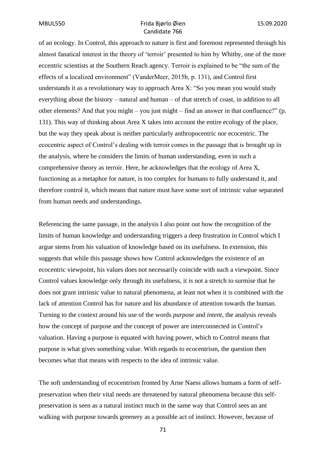of an ecology. In Control, this approach to nature is first and foremost represented through his almost fanatical interest in the theory of 'terroir' presented to him by Whitby, one of the more eccentric scientists at the Southern Reach agency. Terroir is explained to be "the sum of the effects of a localized environment" (VanderMeer, 2015b, p. 131), and Control first understands it as a revolutionary way to approach Area X: "So you mean you would study everything about the history – natural and human – of that stretch of coast, in addition to all other elements? And that you might – you just might – find an answer in that confluence?" (p. 131). This way of thinking about Area X takes into account the entire ecology of the place, but the way they speak about is neither particularly anthropocentric nor ecocentric. The ecocentric aspect of Control's dealing with terroir comes in the passage that is brought up in the analysis, where he considers the limits of human understanding, even in such a comprehensive theory as terroir. Here, he acknowledges that the ecology of Area X, functioning as a metaphor for nature, is too complex for humans to fully understand it, and therefore control it, which means that nature must have some sort of intrinsic value separated from human needs and understandings.

Referencing the same passage, in the analysis I also point out how the recognition of the limits of human knowledge and understanding triggers a deep frustration in Control which I argue stems from his valuation of knowledge based on its usefulness. In extension, this suggests that while this passage shows how Control acknowledges the existence of an ecocentric viewpoint, his values does not necessarily coincide with such a viewpoint. Since Control values knowledge only through its usefulness, it is not a stretch to surmise that he does not grant intrinsic value to natural phenomena, at least not when it is combined with the lack of attention Control has for nature and his abundance of attention towards the human. Turning to the context around his use of the words *purpose* and *intent*, the analysis reveals how the concept of purpose and the concept of power are interconnected in Control's valuation. Having a purpose is equated with having power, which to Control means that purpose is what gives something value. With regards to ecocentrism, the question then becomes what that means with respects to the idea of intrinsic value.

The soft understanding of ecocentrism fronted by Arne Naess allows humans a form of selfpreservation when their vital needs are threatened by natural phenomena because this selfpreservation is seen as a natural instinct much in the same way that Control sees an ant walking with purpose towards greenery as a possible act of instinct. However, because of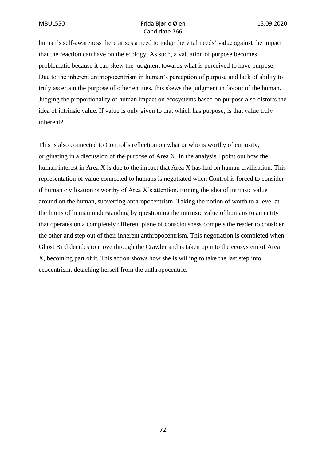human's self-awareness there arises a need to judge the vital needs' value against the impact that the reaction can have on the ecology. As such, a valuation of purpose becomes problematic because it can skew the judgment towards what is perceived to have purpose. Due to the inherent anthropocentrism in human's perception of purpose and lack of ability to truly ascertain the purpose of other entities, this skews the judgment in favour of the human. Judging the proportionality of human impact on ecosystems based on purpose also distorts the idea of intrinsic value. If value is only given to that which has purpose, is that value truly inherent?

This is also connected to Control's reflection on what or who is worthy of curiosity, originating in a discussion of the purpose of Area X. In the analysis I point out how the human interest in Area X is due to the impact that Area X has had on human civilisation. This representation of value connected to humans is negotiated when Control is forced to consider if human civilisation is worthy of Area X's attention. turning the idea of intrinsic value around on the human, subverting anthropocentrism. Taking the notion of worth to a level at the limits of human understanding by questioning the intrinsic value of humans to an entity that operates on a completely different plane of consciousness compels the reader to consider the other and step out of their inherent anthropocentrism. This negotiation is completed when Ghost Bird decides to move through the Crawler and is taken up into the ecosystem of Area X, becoming part of it. This action shows how she is willing to take the last step into ecocentrism, detaching herself from the anthropocentric.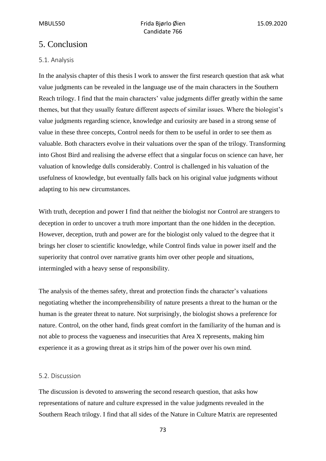# 5. Conclusion

# 5.1. Analysis

In the analysis chapter of this thesis I work to answer the first research question that ask what value judgments can be revealed in the language use of the main characters in the Southern Reach trilogy. I find that the main characters' value judgments differ greatly within the same themes, but that they usually feature different aspects of similar issues. Where the biologist's value judgments regarding science, knowledge and curiosity are based in a strong sense of value in these three concepts, Control needs for them to be useful in order to see them as valuable. Both characters evolve in their valuations over the span of the trilogy. Transforming into Ghost Bird and realising the adverse effect that a singular focus on science can have, her valuation of knowledge dulls considerably. Control is challenged in his valuation of the usefulness of knowledge, but eventually falls back on his original value judgments without adapting to his new circumstances.

With truth, deception and power I find that neither the biologist nor Control are strangers to deception in order to uncover a truth more important than the one hidden in the deception. However, deception, truth and power are for the biologist only valued to the degree that it brings her closer to scientific knowledge, while Control finds value in power itself and the superiority that control over narrative grants him over other people and situations, intermingled with a heavy sense of responsibility.

The analysis of the themes safety, threat and protection finds the character's valuations negotiating whether the incomprehensibility of nature presents a threat to the human or the human is the greater threat to nature. Not surprisingly, the biologist shows a preference for nature. Control, on the other hand, finds great comfort in the familiarity of the human and is not able to process the vagueness and insecurities that Area X represents, making him experience it as a growing threat as it strips him of the power over his own mind.

## 5.2. Discussion

The discussion is devoted to answering the second research question, that asks how representations of nature and culture expressed in the value judgments revealed in the Southern Reach trilogy. I find that all sides of the Nature in Culture Matrix are represented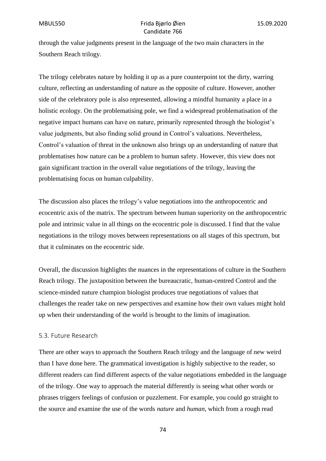through the value judgments present in the language of the two main characters in the Southern Reach trilogy.

The trilogy celebrates nature by holding it up as a pure counterpoint tot the dirty, warring culture, reflecting an understanding of nature as the opposite of culture. However, another side of the celebratory pole is also represented, allowing a mindful humanity a place in a holistic ecology. On the problematising pole, we find a widespread problematisation of the negative impact humans can have on nature, primarily represented through the biologist's value judgments, but also finding solid ground in Control's valuations. Nevertheless, Control's valuation of threat in the unknown also brings up an understanding of nature that problematises how nature can be a problem to human safety. However, this view does not gain significant traction in the overall value negotiations of the trilogy, leaving the problematising focus on human culpability.

The discussion also places the trilogy's value negotiations into the anthropocentric and ecocentric axis of the matrix. The spectrum between human superiority on the anthropocentric pole and intrinsic value in all things on the ecocentric pole is discussed. I find that the value negotiations in the trilogy moves between representations on all stages of this spectrum, but that it culminates on the ecocentric side.

Overall, the discussion highlights the nuances in the representations of culture in the Southern Reach trilogy. The juxtaposition between the bureaucratic, human-centred Control and the science-minded nature champion biologist produces true negotiations of values that challenges the reader take on new perspectives and examine how their own values might hold up when their understanding of the world is brought to the limits of imagination.

#### 5.3. Future Research

There are other ways to approach the Southern Reach trilogy and the language of new weird than I have done here. The grammatical investigation is highly subjective to the reader, so different readers can find different aspects of the value negotiations embedded in the language of the trilogy. One way to approach the material differently is seeing what other words or phrases triggers feelings of confusion or puzzlement. For example, you could go straight to the source and examine the use of the words *nature* and *human*, which from a rough read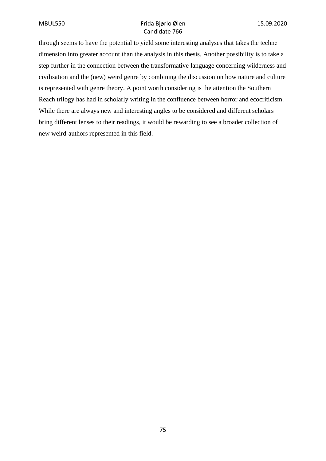through seems to have the potential to yield some interesting analyses that takes the techne dimension into greater account than the analysis in this thesis. Another possibility is to take a step further in the connection between the transformative language concerning wilderness and civilisation and the (new) weird genre by combining the discussion on how nature and culture is represented with genre theory. A point worth considering is the attention the Southern Reach trilogy has had in scholarly writing in the confluence between horror and ecocriticism. While there are always new and interesting angles to be considered and different scholars bring different lenses to their readings, it would be rewarding to see a broader collection of new weird-authors represented in this field.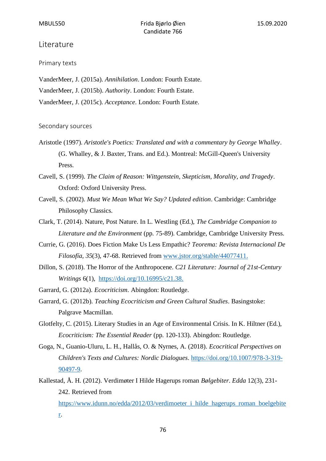### Literature

Primary texts

VanderMeer, J. (2015a). *Annihilation*. London: Fourth Estate. VanderMeer, J. (2015b). *Authority*. London: Fourth Estate. VanderMeer, J. (2015c). *Acceptance*. London: Fourth Estate.

#### Secondary sources

Aristotle (1997). *Aristotle's Poetics: Translated and with a commentary by George Whalley*. (G. Whalley, & J. Baxter, Trans. and Ed.). Montreal: McGill-Queen's University Press.

Cavell, S. (1999). *The Claim of Reason: Wittgenstein, Skepticism, Morality, and Tragedy*. Oxford: Oxford University Press.

- Cavell, S. (2002). *Must We Mean What We Say? Updated edition*. Cambridge: Cambridge Philosophy Classics.
- Clark, T. (2014). Nature, Post Nature. In L. Westling (Ed.), *The Cambridge Companion to Literature and the Environment* (pp. 75-89). Cambridge, Cambridge University Press.
- Currie, G. (2016). Does Fiction Make Us Less Empathic? *Teorema: Revista Internacional De Filosofía, 35*(3), 47-68. Retrieved from [www.jstor.org/stable/44077411.](http://www.jstor.org/stable/44077411)
- Dillon, S. (2018). The Horror of the Anthropocene. *C21 Literature: Journal of 21st-Century Writings* 6(1), [https://doi.org/10.16995/c21.38.](https://doi.org/10.16995/c21.38)
- Garrard, G. (2012a). *Ecocriticism*. Abingdon: Routledge.
- Garrard, G. (2012b). *Teaching Ecocriticism and Green Cultural Studies*. Basingstoke: Palgrave Macmillan.
- Glotfelty, C. (2015). Literary Studies in an Age of Environmental Crisis. In K. Hiltner (Ed.), *Ecocriticism: The Essential Reader* (pp. 120-133). Abingdon: Routledge.
- Goga, N., Guanio-Uluru, L. H., Hallås, O. & Nyrnes, A. (2018). *Ecocritical Perspectives on Children's Texts and Cultures: Nordic Dialogues*. [https://doi.org/10.1007/978-3-319-](https://doi.org/10.1007/978-3-319-90497-9) [90497-9.](https://doi.org/10.1007/978-3-319-90497-9)
- Kallestad, Å. H. (2012). Verdimøter I Hilde Hagerups roman *Bølgebiter*. *Edda* 12(3), 231- 242. Retrieved from [https://www.idunn.no/edda/2012/03/verdimoeter\\_i\\_hilde\\_hagerups\\_roman\\_boelgebite](https://www.idunn.no/edda/2012/03/verdimoeter_i_hilde_hagerups_roman_boelgebiter)

[r.](https://www.idunn.no/edda/2012/03/verdimoeter_i_hilde_hagerups_roman_boelgebiter)